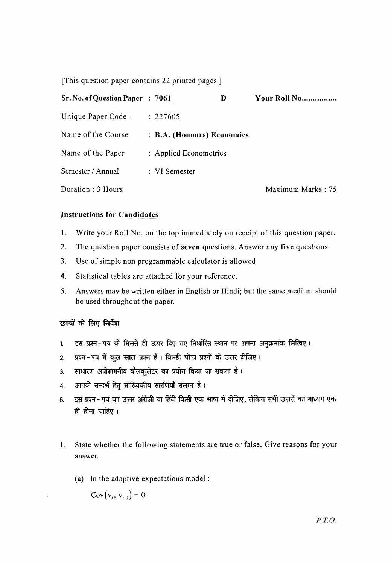[This question paper contains 22 printed pages.]

| Sr. No. of Question Paper : 7061 |                            | D | Your Roll No      |
|----------------------------------|----------------------------|---|-------------------|
| Unique Paper Code.               | : 227605                   |   |                   |
| Name of the Course               | : B.A. (Honours) Economics |   |                   |
| Name of the Paper                | : Applied Econometrics     |   |                   |
| Semester / Annual                | : VI Semester              |   |                   |
| Duration: 3 Hours                |                            |   | Maximum Marks: 75 |

# Instructions for Candidates

- 1. Write your Roll No. on the top immediately on receipt of this question paper.
- 2. The question paper consists of seven questions. Answer any five questions.
- 3. Use of simple non programmable calculator is allowed
- 4. Statistical tables are attached for your reference.
- 5. Answers may be written either in English or Hindi; but the same medium should be used throughout the paper.

# छात्रों के लिए निर्देश

- 1. दस प्रश्न-पत्र के मिलते ही ऊपर दिए गए निर्धारित स्थान पर अपना अनुक्रमांक लिखिए।
- 2. प्रश्न-पत्र में कुल सात प्रश्न हैं। किन्हीं पाँच प्रश्नों के उत्तर दीजिए।
- 3. साधारण अप्रोग्रामनीय कैलकुलेटर का प्रयोग किया जा सकता है।
- 4. आपके सन्दर्भ हेत् सांख्यिकीय सारणियाँ संलग्न हैं ।
- 5. इस प्रश्न-पत्र का उत्तर अंग्रेजी या हिंदी किसी एक भाषा में दीजिए, लेकिन सभी उत्तरों का माध्यम एक ही होना चाहिए।
- I. State whether the following statements are true or false. Give reasons for your answer.
	- (a) In the adaptive expectations model:

 $Cov(v_t, v_{t-1}) = 0$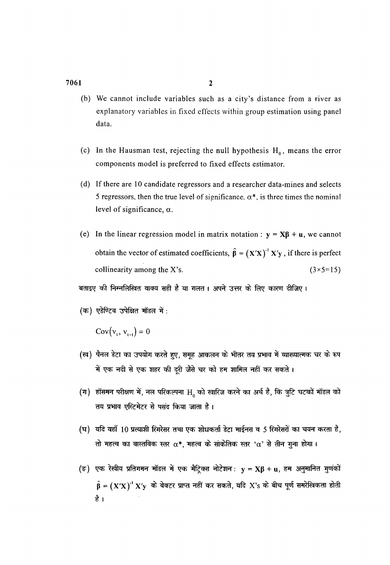- (b) We cannot include variables such as a city's distance from a river as explanatory variables in fixed effects within group estimation using panel data.
- (c) In the Hausman test, rejecting the null hypothesis  $H_0$ , means the error components model is preferred to fixed effects estimator.
- (d) If there are 10 candidate regressors and a researcher data-mines and selects 5 regressors, then the true level of significance.  $\alpha^*$ , is three times the nominal level of significance,  $\alpha$ .
- (e) In the linear regression model in matrix notation :  $y = \mathbf{X}\boldsymbol{\beta} + \mathbf{u}$ , we cannot obtain the vector of estimated coefficients,  $\hat{\beta} = (X'X)^{-1}X'y$ , if there is perfect collinearity among the X's.  $(3 \times 5=15)$

बताइए की निम्नलिखित वाक्य सही है या गलत। अपने उत्तर के लिए कारण दीजिए।

(क) एडेण्टिव उपेक्षित मॉडल में:

 $Cov(v_1, v_{i-1}) = 0$ 

- (ख) पैनल डेटा का उपयोग करते हुए, समूह आकलन के भीतर तय प्रभाव में व्याख्यात्मक चर के रूप नें एक नदी से एक शहर की दूरी जैसे चर को हम शामिल नहीं कर सकते ।<br>म
- (ग) हॉसमन परीक्षण में, नल परिकल्पना  $\rm H_{_0}$  को खारिज करने का अर्थ है, कि त्रुटि घटकों मॉडल को तय प्रभाव एस्टिमेटर से पसंद किया जाता है।
- (घ) यदि यहाँ 10 प्रत्याशी रिगरेसर तथा एक शोधकर्ता डेटा माईनस व 5 रिगरेसरों का चयन करता है, तो महत्व का वास्तविक स्तर  $\alpha^*$ , महत्व के सांकेतिक स्तर ' $\alpha^*$  से तीन गना होगा।
- (ङ) एक रेखीय प्रतिगमन मॉडल में एक मैट्रिक्स नोटेशन:  $y = \mathbf{X}\boldsymbol{\beta} + \mathbf{u}$ , हम अनुमानित गुणंकों  $\hat{\beta} = (X'X)^{-1} X'y$  के वेक्टर प्राप्त नहीं कर सकते, यदि X's के बीच पूर्ण समरेखिकता होती है ।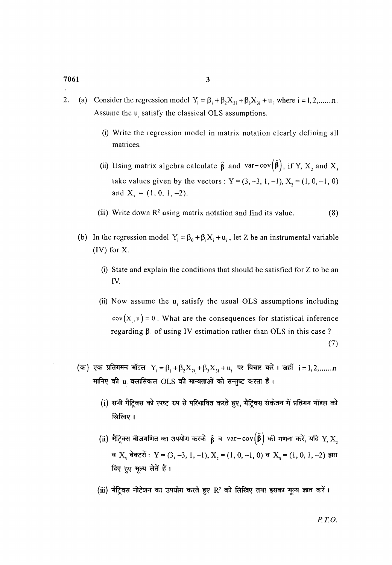- 2. (a) Consider the regression model  $Y_i = \beta_1 + \beta_2 X_{2i} + \beta_3 X_{3i} + u_i$  where  $i = 1, 2, \dots, n$ . Assume the u<sub>i</sub> satisfy the classical OLS assumptions.
	- (i) Write the regression model in matrix notation clearly defining all matrices.
	- (ii) Using matrix algebra calculate  $\hat{\beta}$  and var-cov $(\hat{\beta})$ , if Y, X<sub>2</sub> and X<sub>3</sub> take values given by the vectors:  $Y = (3, -3, 1, -1), X<sub>2</sub> = (1, 0, -1, 0)$ and  $X_1 = (1, 0, 1, -2)$ .
	- (iii) Write down  $\mathbb{R}^2$  using matrix notation and find its value. (8)
	- (b) In the regression model  $Y_i = \beta_0 + \beta_1 X_i + u_i$ , let Z be an instrumental variable (IV) for X.
		- (i) State and explain the conditions that should be satisfied for Z to be an IV.
		- (ii) Now assume the  $u_i$  satisfy the usual OLS assumptions including  $cov(X, u) = 0$ . What are the consequences for statistical inference regarding  $\beta_1$  of using IV estimation rather than OLS in this case? (7)
	- (क) एक प्रतिगमन मॉडल  $Y_i = \beta_1 + \beta_2 X_{2i} + \beta_3 X_{3i} + u_i$  पर विचार करें। जहाँ  $i = 1, 2, \dots, n$  $\,$  मानिए की  $\,$ u<sub>i</sub> क्लासिकल OLS की मान्यताओं को सन्तुष्ट करता है।
		- $(i)$  सभी मैटिक्स को स्पष्ट रूप से परिभाषित करते हुए, मैटिक्स संकेतन में प्रतिगम मॉडल को लिखिए ।
		- (ii) मैट्रिक्स बीजगणित का उपयोग करके  $\hat{\bf \beta}$  व  ${\rm var-cov}\big(\hat{\bf \beta}\big)$  की गणना करें, यदि  ${\rm Y, X,}$ व  $X_3$  वेक्टरों : Y = (3, -3, 1, -1),  $X_2 = (1, 0, -1, 0)$  व  $X_3 = (1, 0, 1, -2)$  द्वारा दिए हुए मूल्य लेतें हैं।
		- (iii) मैट्रिक्स नोटेशन का उपयोग करते हुए R<sup>2</sup> को लिखिए तथा इसका मूल्य ज्ञात करें।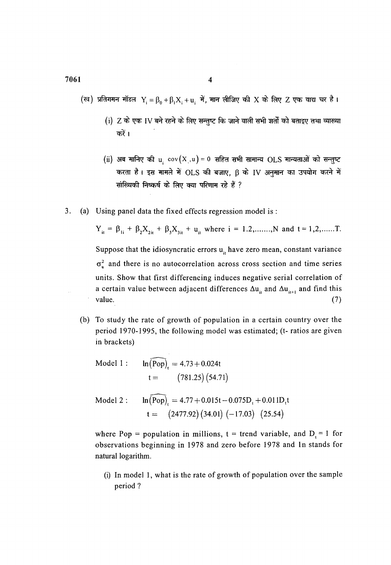(ख) प्रतिगमन मॉडल Y =  $\beta_0 + \beta_1 X_1 + u_2$  में, मान लीजिए की X के लिए Z एक वाद्य चर है।

- (i)  $Z$  के एक IV बने रहने के लिए सन्तुष्ट कि जाने वाली सभी शर्तों को बताइए तथा व्याख्या करें।
- (ii) अब मानिए की  $u_i cov(X_i, u) = 0$  सहित सभी सामान्य OLS मान्यताओं को सन्तुष्ट करता है। इस मामले में OLS की बजाए, β के IV अनुमान का उपयोग करने में सांख्यिकी निष्कर्ष के लिए क्या परिणाम रहे हैं ?
- 3. (a) Using panel data the fixed effects regression model is :

$$
Y_{it} = \beta_{1i} + \beta_2 X_{2it} + \beta_3 X_{3it} + u_{it} \text{ where } i = 1.2, \dots, N \text{ and } t = 1, 2, \dots, T.
$$

Suppose that the idiosyncratic errors  $u_i$  have zero mean, constant variance  $\sigma_{\rm u}^2$  and there is no autocorrelation across cross section and time series units. Show that first differencing induces negative serial correlation of a certain value between adjacent differences  $\Delta u_{i}$  and  $\Delta u_{i+1}$  and find this value. (7)

(b) To study the rate of growth of population in a certain country over the period 1970-1995, the following model was estimated; (t- ratios are given in brackets)

Model 1 : 
$$
\ln(\widehat{Pop})_t = 4.73 + 0.024t
$$
  
  $t = (781.25) (54.71)$ 

Model 2:  $ln(Pop)$ , = 4.77 + 0.015t - 0.075D<sub>t</sub> + 0.011D<sub>t</sub>t  $t = (2477.92)(34.01)(-17.03)(25.54)$ 

where Pop = population in millions,  $t = trend$  variable, and  $D_t = 1$  for observations beginning in 1978 and zero before 1978 and 1n stands for natural logarithm.

(i) In model 1, what is the rate of growth of population over the sample period?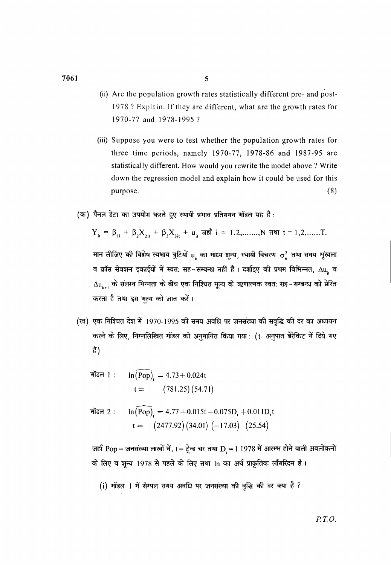- (ii) Are the population growth rates statistically different pre- and post-1978? Explain. Jf they are different, what are the growth rates for I970-77 and I978-1995?
- (iii) Suppose you were to test whether the population growth rates for three time periods, namely 1970-77, 1978-86 and I987-95 are statistically different. How would you rewrite the model above ? Write down the regression model and explain how it could be used for this purpose. (8)
- (क) पैनल डेटा का उपयोग करते हुए स्थायी प्रभाव प्रतिगमन मॉडल यह है:

$$
Y_{it} = \beta_{1i} + \beta_2 X_{2it} + \beta_3 X_{3it} + u_{it} \text{ and } i = 1, 2, \dots, N \text{ and } t = 1, 2, \dots, T.
$$

मान लीजिए की विशेष स्वभाव त्रुटियों u, का माध्य शून्य, स्थायी विचरण  $\sigma_{\sf u}^2$  तथा समय शृंखला व क्रॉस सेक्शन इकाईयों में स्वतः सह−सम्बन्ध नहीं है। दर्शाइए की प्रथम विभिन्नत, ∆u<sub>"</sub> व  $\Delta u_{_{\text{jet}}}$  के संलग्न भिन्नता के बीच एक निश्चित मूल्य के ऋणात्मक स्वत: सह-सम्बन्ध को प्रेरित करता है तथा इस मूल्य को ज्ञात करें।

(ख) एक निश्चित देश में 1970-1995 की समय अवधि पर जनसंख्या की संवृद्धि की दर का अध्ययन करने के लिए, निम्नलिखित मॉडल को अनुमानित किया गया : (t- अनुपात बेरेकिट में दिये गए हैं)

$$
\begin{aligned}\n\text{H} \cdot \text{H} \cdot \text{H} \cdot \text{H} \cdot \text{H} \cdot \text{H} \cdot \text{H} \cdot \text{H} \cdot \text{H} \cdot \text{H} \cdot \text{H} \cdot \text{H} \cdot \text{H} \cdot \text{H} \cdot \text{H} \cdot \text{H} \cdot \text{H} \cdot \text{H} \cdot \text{H} \cdot \text{H} \cdot \text{H} \cdot \text{H} \cdot \text{H} \cdot \text{H} \cdot \text{H} \cdot \text{H} \cdot \text{H} \cdot \text{H} \cdot \text{H} \cdot \text{H} \cdot \text{H} \cdot \text{H} \cdot \text{H} \cdot \text{H} \cdot \text{H} \cdot \text{H} \cdot \text{H} \cdot \text{H} \cdot \text{H} \cdot \text{H} \cdot \text{H} \cdot \text{H} \cdot \text{H} \cdot \text{H} \cdot \text{H} \cdot \text{H} \cdot \text{H} \cdot \text{H} \cdot \text{H} \cdot \text{H} \cdot \text{H} \cdot \text{H} \cdot \text{H} \cdot \text{H} \cdot \text{H} \cdot \text{H} \cdot \text{H} \cdot \text{H} \cdot \text{H} \cdot \text{H} \cdot \text{H} \cdot \text{H} \cdot \text{H} \cdot \text{H} \cdot \text{H} \cdot \text{H} \cdot \text{H} \cdot \text{H} \cdot \text{H} \cdot \text{H} \cdot \text{H} \cdot \text{H} \cdot \text{H} \cdot \text{H} \cdot \text{H} \cdot \text{H} \cdot \text{H} \cdot \text{H} \cdot \text{H} \cdot \text{H} \cdot \text{H} \cdot \text{H} \cdot \text{H} \cdot \text{H} \cdot \text{H} \cdot \text{H} \cdot \text{H} \cdot \text{H} \cdot \text{H} \cdot \text{H} \cdot \text{H} \cdot \text{H} \cdot \text{H} \cdot \text{H} \cdot \text{H} \cdot \text{H} \cdot \text{H} \cdot \text{H} \cdot \text{H} \cdot \text{H} \cdot \text{H} \cdot \text{H} \cdot \text{H} \cdot \text{H} \cdot \text{H} \cdot \text{H} \cdot \text{H} \cdot \text{H
$$

$$
t = (2477.92)(34.01)(-17.03)(25.54)
$$

जहाँ Pop = जनसंख्या लाखों में, t = ट्रेन्ड चर तथा D, = 1 1978 में आरम्भ होने वाली अवलोकनों के लिए व शून्य 1978 से पहले के लिए तथा In का अर्थ प्राकृतिक लॉंगरिदम है।

(i) मॉडल 1 में सेम्पल समय अवधि पर जनसंख्या की वृद्धि की दर क्या है ?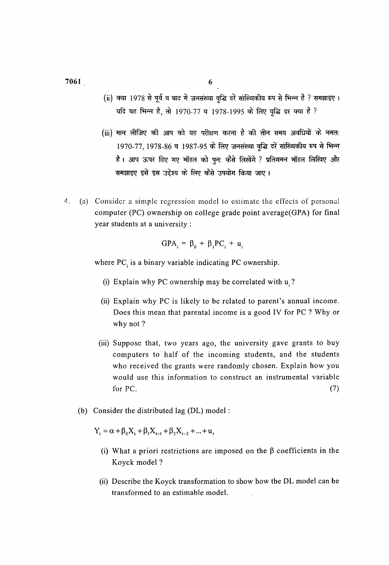(ii) क्या 1978 से पूर्व व बाद में जनसंख्या वृद्धि दरें सांख्यिकीय रूप से भिन्न है ? समझाइए । यदि यह भिन्न है, तो 1970-77 व 1978-1995 के लिए वृद्धि दर क्या है ?

- $(iii)$  मान लीजिए की आप को यह परीक्षण करना है की तीन समय अवधियों के नमत: 1970-77, 1978-86 व 1987-95 के लिए जनसंख्या वृद्धि दरें सांख्यिकीय रूप से भिन्न है। आप ऊपर दिए गए मॉडल को पन: कैसे लिखेंगे ? प्रतिगमन मॉडल लिखिए और समझाइए इसे इस उद्देश्य के लिए कैसे उपयोग किया जाए।
- 4. (a) Consider a simple regression model to estimate the effects of personal computer (PC) ownership on college grade point average(GPA) for final year students at a university :

$$
GPA_i = \beta_0 + \beta_1 PC_i + u_i
$$

where PC<sub>i</sub> is a binary variable indicating PC ownership.

- (i) Explain why PC ownership may be correlated with  $u_i$ ?
- (ii) Explain why PC is likely to be related to parent's annual income. Does this mean that parental income is a good IV for PC ? Why or why not?
- (iii) Suppose that, two years ago, the university gave grants to buy computers to half of the incoming students, and the students who received the grants were randomly chosen. Explain how you would use this information to construct an instrumental variable for PC.  $(7)$
- (b) Consider the distributed lag (DL) model :

$$
Y_{t} = \alpha + \beta_{0}X_{t} + \beta_{1}X_{t-1} + \beta_{2}X_{t-2} + ... + u_{t}
$$

- (i) What a priori restrictions are imposed on the  $\beta$  coefficients in the Koyck model ?
- (ii) Describe the Koyck transformation to show how the DL model can be transformed to an estimable model.

7061 6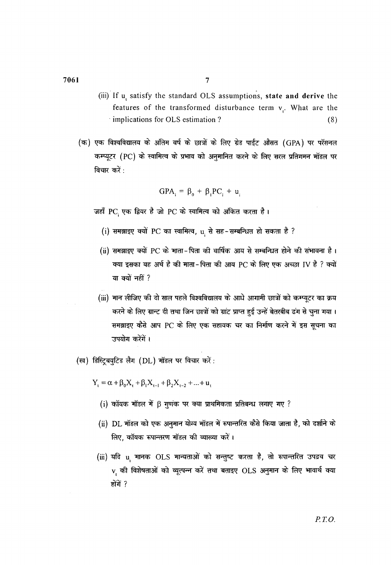- (iii) If u<sub>t</sub> satisfy the standard OLS assumptions, state and derive the features of the transformed disturbance term  $v_i$ . What are the implications for OLS estimation?  $(8)$
- (क) एक विश्वविद्यालय के अंतिम वर्ष के छात्रों के लिए ग्रेड पाईंट औसत (GPA) पर परॅसनल कम्प्यूटर (PC) के स्वामित्व के प्रभाव को अनुमानित करने के लिए सरल प्रतिगमन मॉडल पर विचार करें :

$$
GPA_i = \beta_0 + \beta_1 PC_i + u_i
$$

जहाँ PC एक द्वियर है जो PC के स्वामित्व को अंकित करता है।

- (i) समझाइए क्यों PC का स्वामित्व, u से सह-सम्बन्धित हो सकता है ?
- (ii) समझाइए क्यों PC के माता-पिता की वार्षिक आय से सम्बन्धित होने की संभावना है। क्या इसका यह अर्थ है की माता-पिता की आय PC के लिए एक अच्छा JV है ? क्यों या क्यों नहीं ?
- (iii) मान लीजिए की दो साल पहले विश्वविद्यालय के आधे आगामी छात्रों को कम्प्यूटर का क्रय करने के लिए ग्रान्ट दी तथा जिन छात्रों को ग्रांट प्राप्त हुई उन्हें बेतरबीब ढंग से चुना गया। समझाइए कैसे आप PC के लिए एक सहायक चर का निर्माण करने में इस सूचना का उपयोग करेंगें।
- (ख) डिस्ट्रिबयुटिड लैग (DL) मॉडल पर विचार करें:

 $Y_i = \alpha + \beta_0 X_i + \beta_1 X_{i-1} + \beta_2 X_{i-2} + ... + u_i$ 

- (i) कॉयक मॉडल में  $\beta$  गुणंक पर क्या प्राथमिकता प्रतिबन्ध लगाए गए ?
- (ii) DL मॉडल को एक अनुमान योग्य मॉडल में रूपान्तरित कैसे किया जाता है, को दर्शाने के लिए, कॉयक रूपान्तरण मॉडल की व्याख्या करें।
- (iii) यदि u मानक OLS मान्यताओं को सन्तुष्ट करता है, तो रूपान्तरित उपद्रव चर v की विशेषताओं को व्यूत्पन्न करें तथा बताइए OLS अनुमान के लिए भावार्थ क्या होंगें ?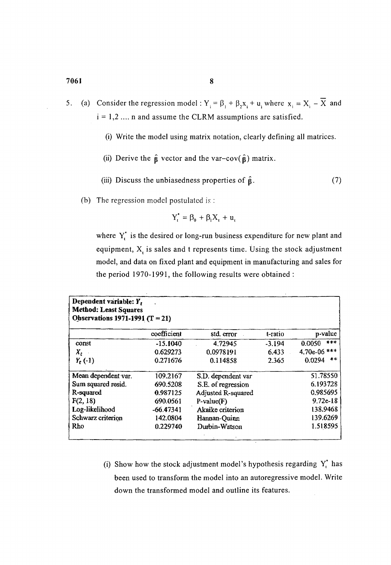- 5. (a) Consider the regression model:  $Y_i = \beta_1 + \beta_2 x_i + u_i$ , where  $x_i = X_i \overline{X}$  and  $i = 1, 2, \ldots$  n and assume the CLRM assumptions are satisfied.
	- (i) Write the model using matrix notation, clearly defining all matrices.
	- (ii) Derive the  $\hat{\beta}$  vector and the var-cov( $\hat{\beta}$ ) matrix.
	- (iii) Discuss the unbiasedness properties of  $\hat{\beta}$ . (7)
	- (b) The regression model postulated is :

$$
Y_t^* = \beta_0 + \beta_1 X_t + u_t
$$

where  $Y_t^*$  is the desired or long-run business expenditure for new plant and equipment,  $X_t$  is sales and t represents time. Using the stock adjustment model, and data on fixed plant and equipment in manufacturing and sales for the period 1970-1991, the following results were obtained :

| Dependent variable: Y,<br><b>Method: Least Squares</b><br>Observations 1971-1991 (T = 21) |             |                    |          |                 |  |  |  |  |
|-------------------------------------------------------------------------------------------|-------------|--------------------|----------|-----------------|--|--|--|--|
|                                                                                           | coefficient | std. error         | t-ratio  | p-value         |  |  |  |  |
| const                                                                                     | $-15.1040$  | 4,72945            | $-3.194$ | $***$<br>0.0050 |  |  |  |  |
| $X_t$                                                                                     | 0.629273    | 0.0978191          | 6.433    | 4.70e-06 ***    |  |  |  |  |
| $Y_t(-1)$                                                                                 | 0.271676    | 0.114858           | 2.365    | **<br>0.0294    |  |  |  |  |
| Mean dependent var.                                                                       | 109.2167    | S.D. dependent var |          | 51.78550        |  |  |  |  |
| Sum squared resid.                                                                        | 690.5208    | S.E. of regression |          | 6.193728        |  |  |  |  |
| R-squared                                                                                 | 0.987125    | Adjusted R-squared |          | 0.985695        |  |  |  |  |
| F(2, 18)                                                                                  | 690.0561    | $P-value(F)$       |          | $9.72e-18$      |  |  |  |  |
| Log-likelihood                                                                            | $-66.47341$ | Akaike criterion   |          | 138.9468        |  |  |  |  |
| Schwarz criterion                                                                         | 142.0804    | Hannan-Quinn       |          | 139.6269        |  |  |  |  |
| Rho                                                                                       | 0.229740    | Durbin-Watson      |          | 1.518595        |  |  |  |  |

(i) Show how the stock adjustment model's hypothesis regarding  $Y_t^*$  has been used to transform the model into an autoregressive model. Write down the transformed model and outline its features.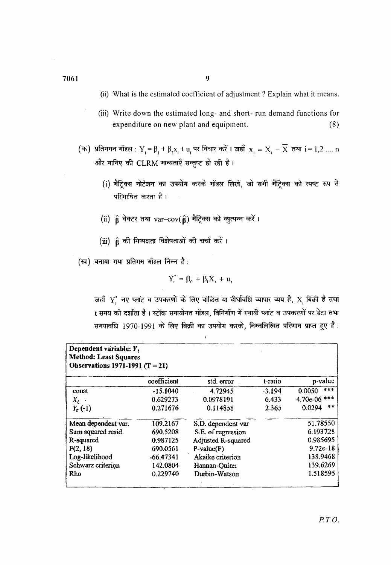- (ii) What is the estimated coefficient of adjustment? Explain what it means.
- (iii) Write down the estimated long- and short- run demand functions for expenditure on new plant and equipment. (8)
- (क) प्रतिगमन मॉडल :  $Y_i = \beta_1 + \beta_2x_i + u_i$  पर विचार करें । जहाँ  $x_i = X_i \overline{X}$  तथा  $i = 1,2~....$  n और मानिए की CLRM मान्यताएँ सन्तुष्ट हो रही है।<br>''
	- $(i)$  मैट्रिक्स नोटेशन का उपयोग करके मॉडल लिखें, जो सभी मैट्रिक्स को स्पष्ट रूप से परिभाषित करता है।
	- (ii)  $\hat{\beta}$  वेक्टर तथा var-cov( $\hat{\beta}$ ) मैट्रिक्स को व्युत्पन्न करें।
	- (iii)  $\hat{\beta}$  की निष्पक्षता विशेषताओं की चर्चा करें।
- $(\overline{\mathfrak{c}}\overline{\mathfrak{q}})$  बनाया गया प्रतिगम मॉडल निम्न है:

$$
Y_t^* = \beta_0 + \beta_1 X_t + u_t
$$

जहाँ  $Y_t^*$  नए प्लांट व उपकरणों के लिए वांछित या दीर्घावधि व्यापार व्यय है,  $X_t$  बिक्री है तथा<br>t समय को दर्शाता है । स्टॉक समायोनत मॉडल, विनिर्माण में स्थायी प्लांट व उपकरणों पर डेटा तथा समयावधि 1970-1991 के लिए बिक्री का उपयोग करके, निम्नलिखित परिणाम प्राप्त हुए हैं:

| Dependent variable: Y,<br><b>Method: Least Squares</b><br>Observations 1971-1991 (T = 21) |             |                    |          |                 |  |  |  |  |
|-------------------------------------------------------------------------------------------|-------------|--------------------|----------|-----------------|--|--|--|--|
|                                                                                           | coefficient | std. error         | t-ratio  | p-value         |  |  |  |  |
| const                                                                                     | $-15.1040$  | 4.72945            | $-3.194$ | $***$<br>0.0050 |  |  |  |  |
| $X_t$ .                                                                                   | 0.629273    | 0.0978191          | 6.433    | 4.70e-06 ***    |  |  |  |  |
| $Y_t(-1)$                                                                                 | 0.271676    | 0.114858           | 2.365    | **<br>0.0294    |  |  |  |  |
| Mean dependent var.                                                                       | 109.2167    | S.D. dependent var |          | 51.78550        |  |  |  |  |
| Sum squared resid.                                                                        | 690.5208    | S.E. of regression |          | 6.193728        |  |  |  |  |
| R-squared                                                                                 | 0.987125    | Adjusted R-squared |          | 0.985695        |  |  |  |  |
| F(2, 18)                                                                                  | 690.0561    | $P-value(F)$       |          | $9.72e-18$      |  |  |  |  |
| Log-likelihood                                                                            | $-66,47341$ | Akaike criterion   |          | 138.9468        |  |  |  |  |
| Schwarz criterion                                                                         | 142.0804    | Hannan-Quinn       |          | 139.6269        |  |  |  |  |
| Rho                                                                                       | 0.229740    | Durbin-Watson      |          | 1.518595        |  |  |  |  |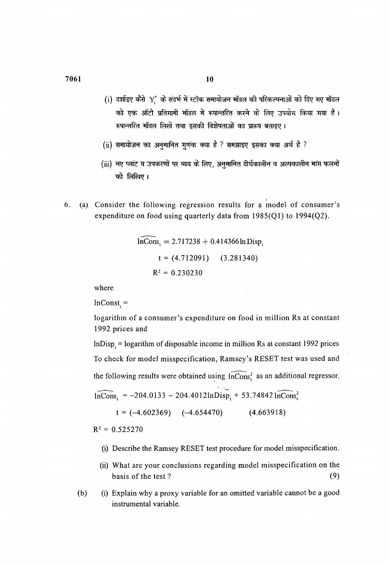- (i) दर्शाइए कैसे Y के संदर्भ में स्टॉक समायोजन मॉडल की परिकल्पनाओं को दिए गए मॉडल को एक ऑटो प्रतिगामी मॉडल में रूपान्तरित करने के लिए उपयोग किया गया है। रूपान्तरित मॉडल लिखें तथा इसकी विशेषताओं का प्रारूप बताइए।
- (ii) समायोजन का अनुमानित गुणक क्या है ? समझाइए इसका क्या अर्थ है ?
- $(iii)$  नए प्लांट व उपकरणों पर व्यय के लिए, अनुमानित दीर्घकालीन व अल्पकालीन मांग फलनों को लिखिए।
- 6. (a) Consider the following regression results for a model of consumer's expenditure on food using quarterly data from  $1985(Q1)$  to  $1994(Q2)$ .

$$
\widehat{\ln \text{Cons}}_t = 2.717238 + 0.414366 \ln \text{Disp}_t
$$
  

$$
t = (4.712091) \qquad (3.281340)
$$
  

$$
R^2 = 0.230230
$$

where

 $lnConst =$ 

logarithm of a consumer's expenditure on food in million Rs at constant 1992 prices and

 $\frac{1}{2}$ 

 $\sim$   $\sim$ 

 $lnDisp_t = logarithm$  of disposable income in million Rs at constant 1992 prices To check for model misspecification, Ramsey's RESET test was used and the following results were obtained using  $\widehat{lnCons}^2$  as an additional regressor.

$$
\widehat{\ln \text{Cons}}_{t} = -204.0133 - 204.4012 \ln \text{Disp}_{t} + 53.74842 \widehat{\ln \text{Cons}}_{t}^{2}
$$

 $t = (-4.602369)$   $(-4.654470)$   $(4.663918)$ 

 $R^2 = 0.525270$ 

- (i) Describe the Ramsey RESET test procedure for model misspecification.
- (ii) What are your conclusions regarding model misspecification on the basis of the test?  $(9)$
- (b) (i) Explain why a proxy variable for an omitted variable cannot be a good instrumental variable.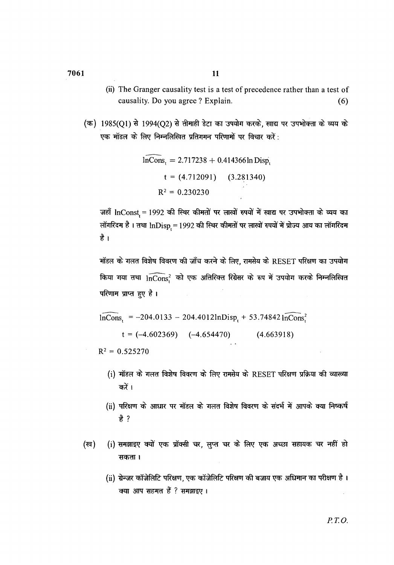- (ii) The Granger causality test is a test of precedence rather than a test of causality. Do you agree? Explain. (6)
- $($ क) 1985(Q1) से 1994(Q2) से तीमाही डेटा का उपयोग करके, खाद्य पर उपभोक्ता के व्यय के एक मॉडल के लिए निम्नलिखित प्रतिगमन परिणामों पर विचार करें :

$$
\widehat{\ln \text{Cons}}_t = 2.717238 + 0.414366 \ln \text{Disp}_t
$$
  

$$
t = (4.712091) \quad (3.281340)
$$
  

$$
R^2 = 0.230230
$$

जहाँ lnConst<sub>,</sub> = 1992 की स्थिर कीमतों पर लाखों रुपयों में खाद्य पर उपभोक्ता के व्यय का लॉगरिदम है । तथा  $\mathrm{InDisp}_t = 1992$  की स्थिर कीमतों पर लाखों रुपयों में प्रोज्य आय का लॉगरिदम है ।

मॉडल के गलत विशेष विवरण की जाँच करने के लिए, रामसेय के RESET परिक्षण का उपयोग किया गया तथा  $\widehat{\text{lnCons}^2}$  को एक अतिरिक्त रिग्रेसर के रूप में उपयोग करके निम्नलिखित परिणाम प्राप्त हुए है।

$$
\widehat{\ln \text{Cons}}_{t} = -204.0133 - 204.4012 \ln \text{Disp}_{t} + 53.74842 \widehat{\ln \text{Cons}}_{t}^{2}
$$

 $t = (-4.602369)$   $(-4.654470)$   $(4.663918)$ 

 $R^2 = 0.525270$ 

- $(i)$  मॉडल के गलत विशेष विवरण के लिए रामसेय के RESET परिक्षण प्रक्रिया की व्याख्या करें ।
- (ii) परिक्षण के आधार पर मॉडल के गलत विशेष विवरण के संदर्भ में आपके क्या निष्कर्ष *t?*
- (ख) (i) समझाइए क्यों एक प्रॉक्सी चर, लुप्त चर के लिए एक अच्छा सहायक चर नहीं हो सकता ।
	- (ii) ग्रेन्जर कॉजेलिटि परिक्षण, एक कॉजेलिटि परिक्षण की बजाय एक अधिमान का परीक्षण है। क्या आप सहमत हैं ? समझाइए ।

7061 11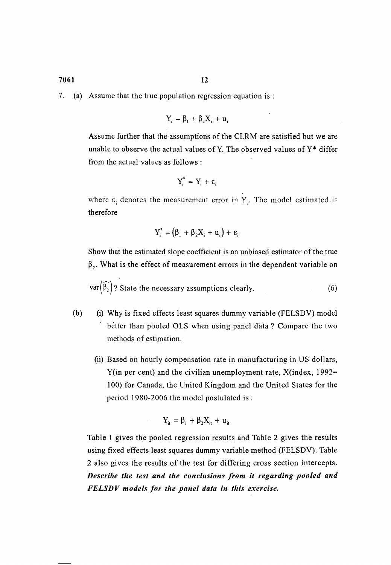7. (a) Assume that the true population regression equation is :

$$
Y_i = \beta_1 + \beta_2 X_i + u_i
$$

Assume further that the assumptions of the CLRM are satisfied but we are unable to observe the actual values of Y. The observed values of  $Y^*$  differ from the actual values as follows :

$$
Y_i^* = Y_i + \epsilon_i
$$

where  $\varepsilon_i$  denotes the measurement error in Y<sub>i</sub>. The model estimated. is therefore

$$
Y_i^* = (\beta_1 + \beta_2 X_i + u_i) + \varepsilon_i
$$

Show that the estimated slope coefficient is an unbiased estimator of the true  $\beta$ . What is the effect of measurement errors in the dependent variable on

$$
\text{var}\left(\widehat{\beta_2}\right)
$$
? State the necessary assumptions clearly. (6)

- (b) (i) Why is fixed effects least squares dummy variable (FELSDV) model better than pooled OLS when using panel data? Compare the two methods of estimation.
	- (ii) Based on hourly compensation rate in manufacturing in US dollars, Y(in per cent) and the civilian unemployment rate, X(index, 1992= 1 00) for Canada, the United Kingdom and the United States for the period 1980-2006 the model postulated is :

$$
Y_{it} = \beta_1 + \beta_2 X_{it} + u_{it}
$$

Table 1 gives the pooled regression results and Table 2 gives the results using fixed effects least squares dummy variable method (FELSDV). Table 2 also gives the results of the test for differing cross section intercepts. *Describe the test and the conclusions from it regarding pooled and FELSDV models for the panel data in this exercise.*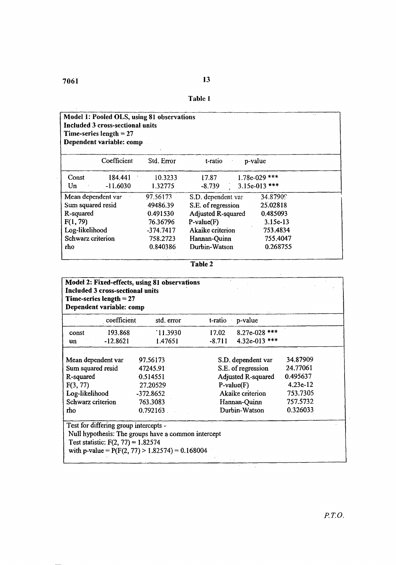$\hat{\mathcal{A}}$ 

| Table 1 |  |
|---------|--|

| ٠.<br>Model 1: Pooled OLS, using 81 observations<br><b>Included 3 cross-sectional units</b><br>Time-series length $= 27$<br>Dependent variable: comp |                    |             |                           |                 |  |  |  |
|------------------------------------------------------------------------------------------------------------------------------------------------------|--------------------|-------------|---------------------------|-----------------|--|--|--|
|                                                                                                                                                      | Coefficient        | Std. Error  | t-ratio                   | p-value         |  |  |  |
| Const                                                                                                                                                | 184.441            | 10.3233     | 17.87                     | $1.78e-029$ *** |  |  |  |
| Un                                                                                                                                                   | $-11.6030$         | 1.32775     | $-8.739$                  | $3.15e-013$ *** |  |  |  |
|                                                                                                                                                      | Mean dependent var | 97.56173    | S.D. dependent var        | 34.87909        |  |  |  |
| Sum squared resid                                                                                                                                    |                    | 49486.39    | S.E. of regression        | 25.02818        |  |  |  |
| R-squared                                                                                                                                            |                    | 0.491530    | <b>Adjusted R-squared</b> | 0.485093        |  |  |  |
| F(1, 79)                                                                                                                                             |                    | 76.36796    | $P-value(F)$              | 3.15e-13        |  |  |  |
| Log-likelihood                                                                                                                                       |                    | $-374.7417$ | Akaike criterion          | 753.4834        |  |  |  |
| Schwarz criterion                                                                                                                                    |                    | 758.2723    | Hannan-Quinn              | 755.4047        |  |  |  |
| rho                                                                                                                                                  |                    | 0.840386    | Durbin-Watson             | 0.268755        |  |  |  |
|                                                                                                                                                      |                    |             |                           |                 |  |  |  |

 $\bar{\mathcal{A}}$ 

 $\hat{\boldsymbol{\beta}}$ 

| Model 2: Fixed-effects, using 81 observations<br>Included 3 cross-sectional units<br>Time-series length $= 27$<br>Dependent variable: comp |                                                                               |                                                                                                          |          |                                                                                                                                            |                                                                                    |  |  |  |
|--------------------------------------------------------------------------------------------------------------------------------------------|-------------------------------------------------------------------------------|----------------------------------------------------------------------------------------------------------|----------|--------------------------------------------------------------------------------------------------------------------------------------------|------------------------------------------------------------------------------------|--|--|--|
|                                                                                                                                            | coefficient                                                                   | std. error                                                                                               | t-ratio  | p-value                                                                                                                                    |                                                                                    |  |  |  |
| const                                                                                                                                      | 193.868                                                                       | `11.3930                                                                                                 | 17.02    | $8.27e-028$ ***                                                                                                                            |                                                                                    |  |  |  |
| un                                                                                                                                         | $-12.8621$                                                                    | 1.47651                                                                                                  | $-8.711$ | 4.32e-013 ***                                                                                                                              |                                                                                    |  |  |  |
| Mean dependent var<br>Sum squared resid<br>R-squared<br>F(3, 77)<br>Log-likelihood<br>Schwarz criterion<br>tho                             |                                                                               | 97.56173<br>47245.91<br>0.514551<br>27.20529<br>-372.8652<br>763.3083<br>0.792163                        |          | S.D. dependent var<br>S.E. of regression<br><b>Adjusted R-squared</b><br>$P-value(F)$<br>Akaike criterion<br>Hannan-Quinn<br>Durbin-Watson | 34.87909<br>24.77061<br>0.495637<br>$4.23e-12$<br>753.7305<br>757.5732<br>0.326033 |  |  |  |
|                                                                                                                                            | Test for differing group intercepts -<br>Test statistic: $F(2, 77) = 1.82574$ | Null hypothesis: The groups have a common intercept<br>with p-value = $P(F(2, 77) > 1.82574) = 0.168004$ |          |                                                                                                                                            |                                                                                    |  |  |  |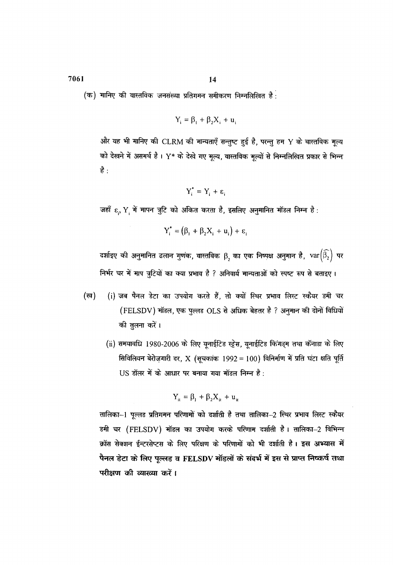7061

 $(\sigma)$  गानिए की वास्तविक जनसंख्या प्रतिगमन समीकरण निम्नलिखित है:

$$
Y_i = \beta_1 + \beta_2 X_i + u_i
$$

और यह भी मानिए की CLRM की मान्यताएँ सन्तुष्ट हुई है, परन्तु हम Y के वास्तविक मूल्य को देखने में असमर्थ है। Y\* के देखे गए मूल्य, वास्तविक मूल्यों से निम्नलिखित प्रकार से भिन्न है :

$$
Y_i^* = Y_i + \varepsilon_i
$$

जहाँ  $\varepsilon$ , Y में मापन त्रुटि को अंकित करता है, इसलिए अनुमानित मॉडल निम्न है:

$$
Y_i^* = (\beta_1 + \beta_2 X_i + u_i) + \varepsilon_i
$$

दर्शाइए की अनुमानित ढलान गुणक, वास्तविक  $\boldsymbol{\beta}_2$  का एक निष्पक्ष अनुमान है,  $\textsf{var}\big(\widehat{\beta_2}\big)$  पर निर्भर चर में माप त्रुटियों का क्या प्रभाव है ? अनिवार्य मान्यताओं को स्पष्ट रूप से बताइए।

- (ख) (i) जब पैनल डेटा का उपयोग करते हैं, तो क्यों स्थिर प्रभाव लिस्ट स्कैयर डमी चर (FELSDV) मॉडल, एक पुल्लड OLS से अधिक बेहतर है ? अनुमान की दोनों विधियों की तुलना करें।
	- (ii) समयावधि 1980-2006 के लिए यूनाईटिड स्ट्रेस, यूनाईटिड किंगड्म तथा कॅनाडा के लिए सिविलियन बेरोज़गारी दर, X (सूचकांक 1992 = 100) विनिर्माण में प्रति घंटा क्षति पूर्ति US डॉलर में के आधार पर बनाया गया मॉडल निम्न है:

$$
Y_{it} = \beta_1 + \beta_2 X_{it} + u_{it}
$$

तालिका-1 पूल्लड प्रतिगमन परिणामों को दर्शाती है तथा तालिका-2 स्थिर प्रभाव लिस्ट स्कैयर डमी चर (FELSDV) मॉडल का उपयोग करके परिणाम दर्शाती है। तालिका–2 विभिन्न क्रॉस सेक्शन ईन्टरसेप्टस के लिए परिक्षण के परिणामों को भी दर्शाती है। इस अभ्यास में पैनल डेटा के लिए पूल्लड व FELSDV मॉडलों के संदर्भ में इस से प्राप्त निष्कर्ष तथा परीक्षण की व्याख्या करें।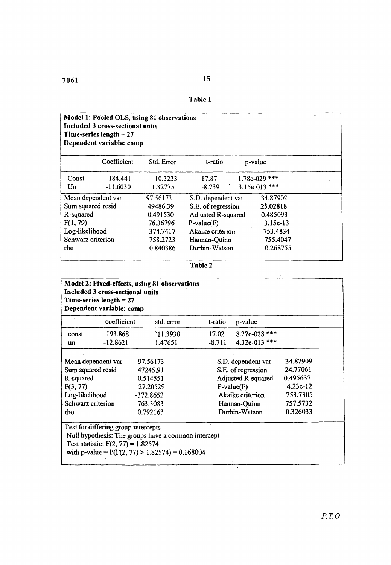$\bar{z}$ 

| Table 1 |  |
|---------|--|

| Model 1: Pooled OLS, using 81 observations<br>Included 3 cross-sectional units<br>Time-series length $= 27$<br>Dependent variable: comp |                    |             |                    |                 |  |  |  |
|-----------------------------------------------------------------------------------------------------------------------------------------|--------------------|-------------|--------------------|-----------------|--|--|--|
|                                                                                                                                         | Coefficient        | Std. Error  | t-ratio            | p-value         |  |  |  |
| Const                                                                                                                                   | 184.441            | 10.3233     | 17.87              | $1.78e-029$ *** |  |  |  |
| Un                                                                                                                                      | $-11.6030$         | 1.32775     | $-8.739$           | $3.15e-013$ *** |  |  |  |
|                                                                                                                                         | Mean dependent var | 97.56173    | S.D. dependent var | 34.87909        |  |  |  |
| Sum squared resid                                                                                                                       |                    | 49486.39    | S.E. of regression | 25.02818        |  |  |  |
| R-squared                                                                                                                               |                    | 0.491530    | Adjusted R-squared | 0.485093        |  |  |  |
| F(1, 79)                                                                                                                                |                    | 76.36796    | $P-value(F)$       | $3.15e-13$      |  |  |  |
| Log-likelihood                                                                                                                          |                    | $-374.7417$ | Akaike criterion   | 753.4834        |  |  |  |
| Schwarz criterion                                                                                                                       |                    | 758.2723    | Hannan-Quinn       | 755.4047        |  |  |  |
| rho                                                                                                                                     |                    | 0.840386    | Durbin-Watson      | 0.268755        |  |  |  |
|                                                                                                                                         |                    |             |                    |                 |  |  |  |

Table 2

 $\hat{\mathcal{A}}$ 

J.

| Included 3 cross-sectional units<br>Time-series length $= 27$<br>Dependent variable: comp |                                                                                                                                                                                           |                     |                   |                                  |            |  |  |  |
|-------------------------------------------------------------------------------------------|-------------------------------------------------------------------------------------------------------------------------------------------------------------------------------------------|---------------------|-------------------|----------------------------------|------------|--|--|--|
|                                                                                           | coefficient                                                                                                                                                                               | std. error          | t-ratio           | p-value                          |            |  |  |  |
| const<br>un                                                                               | 193.868<br>$-12.8621$                                                                                                                                                                     | `11.3930<br>1.47651 | 17.02<br>$-8.711$ | $8.27e-028$ ***<br>4.32e-013 *** |            |  |  |  |
|                                                                                           | Mean dependent var                                                                                                                                                                        | 97.56173            |                   | S.D. dependent var               | 34.87909   |  |  |  |
| Sum squared resid                                                                         |                                                                                                                                                                                           | 47245.91            |                   | S.E. of regression               | 24.77061   |  |  |  |
| R-squared                                                                                 |                                                                                                                                                                                           | 0.514551            |                   | Adjusted R-squared               | 0.495637   |  |  |  |
| F(3, 77)                                                                                  |                                                                                                                                                                                           | 27.20529            |                   | $P-value(F)$                     | $4.23e-12$ |  |  |  |
| Log-likelihood                                                                            |                                                                                                                                                                                           | $-372.8652$         |                   | Akaike criterion                 | 753.7305   |  |  |  |
| Schwarz criterion                                                                         |                                                                                                                                                                                           | 763.3083            |                   | Hannan-Quinn                     | 757.5732   |  |  |  |
| rho                                                                                       |                                                                                                                                                                                           | $0.792163$ .        |                   | Durbin-Watson                    | 0.326033   |  |  |  |
|                                                                                           | Test for differing group intercepts -<br>Null hypothesis: The groups have a common intercept<br>Test statistic: $F(2, 77) = 1.82574$<br>with p-value = $P(F(2, 77) > 1.82574) = 0.168004$ |                     |                   |                                  |            |  |  |  |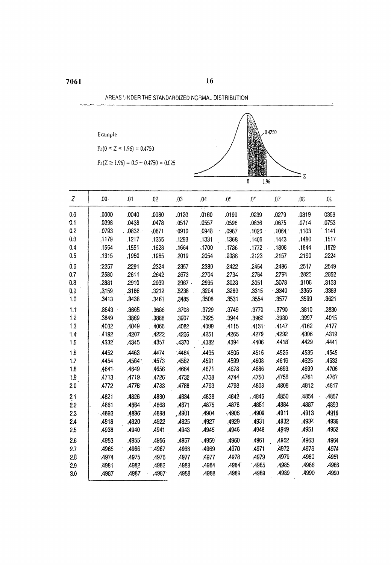AREAS UNDER THE STANDARDIZED NORMAL DISTRIBUTION

16

# Example

 $Pr(0 \le Z \le 1.96) = 0.4750$ 

 $Pr(Z \ge 1.96) = 0.5 - 0.4750 = 0.025$ 



| $\overline{z}$   | $.00 \cdot$ | .01         | .02   | .03   | .04         | .05   | .0 <sup>c</sup> | .07    | 30.   | .05   |
|------------------|-------------|-------------|-------|-------|-------------|-------|-----------------|--------|-------|-------|
| 0.0              | ,0000       | .0040       | .0080 | .0120 | ٠į<br>.0160 | .0199 | .0239           | .0279  | .0319 | 0359  |
| 0.1              | .0398       | .0438       | .0478 | .0517 | .0557       | .0596 | .0636           | .0675  | .0714 | .0753 |
| 0.2              | .0793       | $.0832 -$   | .0871 | :0910 | .0948       | .0987 | .1026           | .1064  | .1103 | .1141 |
| 0.3              | .1179       | .1217       | ,1255 | .1293 | .1331       | .1368 | .1406           | .1443  | .1480 | .1517 |
| 0.4              | .1554       | .1591       | .1628 | .1664 | ,1700       | .1736 | .1772           | .1808  | .1844 | .1879 |
| 0.5              | .1915       | ,1950       | .1985 | .2019 | .2054       | 2088  | .2123           | .2157  | .2190 | .2224 |
| 0.6              | :2257       | .2291       | .2324 | .2357 | .2389       | .2422 | .2454           | .2486. | .2517 | .2549 |
| 0.7              | .2580       | .2611       | .2642 | .2673 | .2704       | .2734 | .2764           | .2794  | ,2823 | .2852 |
| 0.8              | .2881       | .2910       | .2939 | .2967 | .2995       | .3023 | .3051           | .3078  | 3106  | .3133 |
| 0.9              | .3159       | .3186       | .3212 | .3238 | .3264       | .3289 | .3315           | .3340  | :3365 | .3389 |
| 1.0              | .3413       | .3438       | .3461 | .3485 | .3508       | .3531 | .3554           | .3577  | .3599 | .3621 |
| 1.1              | .3643       | .3665       | .3686 | ,3708 | .3729       | .3749 | .3770           | .3790  | .3810 | .3830 |
| 1.2              | .3849       | .3869       | .3888 | .3907 | .3925       | .3944 | .3962           | .3980  | .3997 | .4015 |
| 1.3              | .4032       | .4049       | .4066 | .4082 | .4099       | .4115 | .4131           | .4147  | .4162 | ,4177 |
| 1.4              | 4192        | .4207       | .4222 | .4236 | .4251       | .4265 | .4279           | ,4292  | .4306 | .4319 |
| 1.5              | 4332        | <b>4345</b> | ,4357 | .4370 | .4382       | .4394 | .4406           | .4418  | .4429 | .4441 |
| $1.\overline{6}$ | .4452       | .4463       | .4474 | .4484 | .4495       | .4505 | .4515           | .4525  | .4535 | .4545 |
| 1.7              | .4454       | ,4564       | ,4573 | .4582 | .4591       | .4599 | .4608           | .4616  | :4625 | .4633 |
| 1.8              | .4641       | .4649       | .4656 | .4664 | .4671       | .4678 | .4686           | .4693  | .4699 | .4706 |
| 1.9              | .4713       | :4719       | .4726 | .4732 | .4738       | .4744 | .4750           | .4756. | .4761 | .4767 |
| 2.0              | .4772       | .4778       | .4783 | .4788 | .4793       | .4798 | .4803           | .4808  | .4812 | .4817 |
| 24               | ,4821       | .4826       | .4830 | .4834 | :4838       | .4842 | .4846           | 4850   | 4854  | .4857 |
| 2.2              | .4861       | .4864       | .4868 | .4871 | ,4875       | .4878 | .4881           | .4884  | .4887 | ,4890 |
| 2.3              | .4893       | ,4896       | .4898 | .4901 | .4904       | .4906 | .4909           | .4911  | .4913 | .4916 |
| 2.4              | ,4918       | .4920       | .4922 | .4925 | :4927       | .4929 | .4931           | .4932  | .4934 | .4936 |
| 2,5              | .4938       | .4940       | .4941 | .4943 | .4945       | ,4946 | A948            | .4949  | .4951 | .4952 |
| 2.6              | .4953       | .4955       | .4956 | .4957 | .4959       | .4960 | .4961           | .4962  | .4963 | .4964 |
| 2.7              | .4965       | ,4966       | .4967 | .4968 | :4969       | .4970 | .4971           | .4972  | .4973 | .4974 |
| $2.\overline{8}$ | .4974       | -4975       | .4976 | .4977 | .4977       | .4978 | .4979           | .4979  | .4980 | .4981 |
| 2.9              | .4981       | .4982       | .4982 | .4983 | .4984       | .4984 | .4985           | .4985  | .4986 | .4986 |
| 3.0              | .4987       | .4987       | .4987 | .4988 | .4988       | .4989 | .4989           | .4989  | .4990 | .4990 |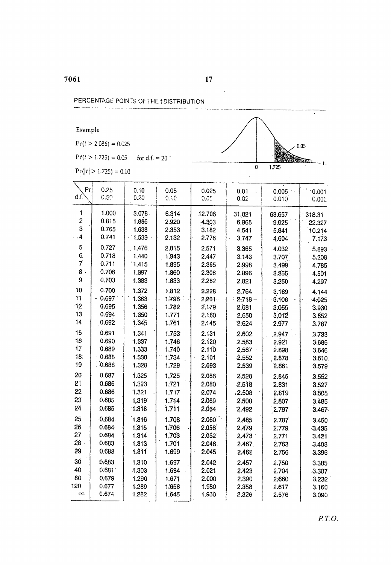PERCENTAGE POINTS OF THE tDISTRIBUTION

 $\mathcal{L}^{\text{max}}_{\text{max}}$ 

 $Pr(t > 2.086) = 0.025$ 

 $Pr(t > 1.725) = 0.05$  for d.f. = 20

 $Pr(|t| > 1.725) = 0.10$ 

| P <sub>f</sub>  | 0.25   | 0.10  | 0.05  | 0.025  | 0.01       | 0.005   | 0.001    |
|-----------------|--------|-------|-------|--------|------------|---------|----------|
| $df$ .          | 0.50   | 0.20  | 0.10  | 0.05   | 0.02       | 0.010   | 0.002    |
| 1               | 1.000  | 3.078 | 6.314 | 12.706 | 31,821     | 63.657  | 318.31   |
| $\overline{c}$  | 0.816  | 1.886 | 2.920 | 4.303  | 6.965      | 9.925   | 22.327   |
| 3               | 0.765  | 1.638 | 2.353 | 3.182  | 4.541      | 5.841   | 10.214   |
| $\ddot{4}$      | 0.741  | 1.533 | 2.132 | 2.776  | 3.747      | 4.604   | 7.173    |
| 5               | 0.727  | 1,476 | 2.015 | 2.571  | 3.365      | 4.032   | 5.893    |
| 6.              | 0.718  | 1.440 | 1.943 | 2.447  | 3.143      | 3.707   | 5.208    |
| $\mathcal{I}$   | 0.711  | 1.415 | 1.895 | 2.365  | 2.998      | 3,499   | 4.785    |
| 8:              | 0.706  | 1.397 | 1.860 | 2.306  | 2.896      | 3.355   | 4.501    |
| 9               | 0.703  | 1.383 | 1.833 | 2.262  | 2.821      | 3,250   | 4.297    |
| 10              | 0.700  | 1.372 | 1.812 | 2.228  | 2.764      | 3.169   | 4.144    |
| 11              | 0.697  | 1.363 | 1.796 | 2.201  | $-2.718 -$ | 3.106   | $-4.025$ |
| $-12$           | 0.695  | 1.356 | 1.782 | 2.179  | 2.681      | 3.055   | 3.930    |
| 13              | 0.694  | 1.350 | 1.771 | 2.160  | 2.650      | 3.012   | 3.852    |
| 14              | 0,692  | 1.345 | 1.761 | 2.145  | 2.624      | 2.977   | 3.787    |
| 15              | 0.691. | 1.341 | 1.753 | 2.131  | 2.602      | 2.947   | 3.733    |
| 16              | 0.690  | 1,337 | 1.746 | 2.120  | 2.583      | 2.921   | 3.686    |
| 17              | 0.689  | 1.333 | 1.740 | 2.110  | 2.567      | 2.898   | 3.646    |
| 18              | 0.688  | 1.330 | 1.734 | 2.101  | 2.552      | , 2.878 | 3.610.   |
| 19              | 0.688  | 1.328 | 1.729 | 2.093  | 2.539      | 2.861   | 3.579    |
| 20              | 0.687  | 1.325 | 1.725 | 2.086  | 2.528      | 2.845   | 3.552    |
| 21              | 0.686  | 1.323 | 1.721 | 2.080  | 2.518      | 2.831   | 3.527    |
| 22              | 0.686  | 1.321 | 1.717 | 2.074  | .2.508     | 2.819   | 3.505    |
| 23              | 0.685  | 1.319 | 1.714 | 2.069  | 2.500      | 2.807   | 3.485    |
| 24              | 0,685  | 1.318 | 1.711 | 2.064  | 2.492      | 2.797   | 3.467    |
| 25              | 0.684  | 1,316 | 1,708 | 2.060  | 2.485      | 2.787   | 3.450    |
| 26              | 0.684  | 1.315 | 1.706 | 2.056  | 2,479      | 2.779   | 3.435    |
| 27              | 0.684  | 1.314 | 1,703 | 2.052  | 2.473      | 2.771   | 3.421    |
| 28 <sub>1</sub> | 0.683  | 1.313 | 1.701 | 2.048. | 2.467      | 2.763   | 3.408    |
| 29              | 0.683  | 1.311 | 1.699 | 2.045  | 2.462      | 2.756   | 3.396    |
| 30              | 0.683  | 1.310 | 1.697 | 2.042  | 2.457      | 2.750   | 3.385    |
| 40              | 0.681  | 1.303 | 1.684 | 2.021  | 2.423      | 2.704   | 3.307    |
| 60              | 0.679  | 1.296 | 1.671 | 2.000  | 2.390      | 2,660   | 3.232    |
| 120             | 0.677  | 1,289 | 1.658 | 1.980  | 2.358      | 2.617   | 3.160    |
| $\infty$        | 0.674  | 1.282 | 1.645 | 1.960  | 2.326      | 2.576   | 3.090    |

 $\bar{\mathcal{A}}$ 

 $\overline{\mathfrak{o}}$ 

 $1.725$ 

τ

 $-t$ .

 $0.05$ 

**READERS**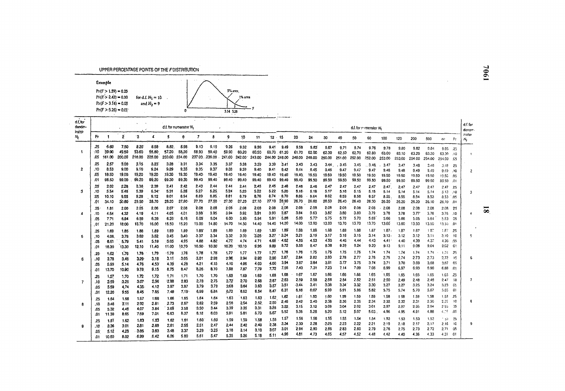UPPER PERCENTAGE POINTS OF THE F DISTRIBUTION

| Example                                                                                          |                                        |                    |
|--------------------------------------------------------------------------------------------------|----------------------------------------|--------------------|
| $Pr(F > 1.59) = 0.25$<br>$Pr(F > 2.42) = 0.10$<br>$Pr(F > 3.14) = 0.05$<br>$Pr(F > 5.26) = 0.01$ | for $d.f. N_1 = 10$ .<br>and $N_2 = 9$ | 5% area<br>1% area |
|                                                                                                  |                                        | 3.14 5.26          |

| d.f.for<br>denor-<br>inator |                           |                                |                                |                                |                                |                                 | $d.f.$ for numerator $N_1$          |                                    |                                | $\epsilon$                     |                                 |                                |                                           |                                  |                                   |                                | $\sim$                          |                                  |                                | d.f. for merator N.                    |                                         |                                        |                                        |                                        |                                             |                              | d.f.for<br>denom. |
|-----------------------------|---------------------------|--------------------------------|--------------------------------|--------------------------------|--------------------------------|---------------------------------|-------------------------------------|------------------------------------|--------------------------------|--------------------------------|---------------------------------|--------------------------------|-------------------------------------------|----------------------------------|-----------------------------------|--------------------------------|---------------------------------|----------------------------------|--------------------------------|----------------------------------------|-----------------------------------------|----------------------------------------|----------------------------------------|----------------------------------------|---------------------------------------------|------------------------------|-------------------|
| N,                          | Pr                        |                                | 2                              | ٠3                             |                                | 5                               | 6                                   | 7                                  | 8                              | 9                              | 10                              | 11                             | $12 - 15$                                 |                                  | 20                                | 24.                            | 30                              | 40                               | 50                             | 60                                     | 100                                     | 120                                    | 200                                    | 500                                    | œ.                                          | P <sub>f</sub>               | inator<br>Ν,      |
| $\ddot{\phantom{1}}$        | .25<br>:10<br>.05         | $-5:83$<br>39.90<br>161.00     | 7.50<br>49.50<br>200.00        | 8.20<br>53.60<br>216.00        | 8.58<br>55.80<br>225.00        | .8.82.<br>57.20<br>230.00       | 8.98<br>58,20<br>234.00             | <b>D.10</b><br>58.90<br>237.00.    | 9.19<br>59.40<br>.239.00       | 9.26<br>59.90<br>241.00        | 9.32<br>60.20<br>242.00         | 9.36<br>60.50<br>243.00        | 9.41<br>60.70<br>244.00 246.00            | 9.49<br>61.20                    | 9.58<br>61,70<br>248.00           | 9.63<br>62.00<br>249.00        | 9.67<br>62.30<br>250.00         | 9.71<br>62.50<br>251.00          | 9.74<br>62.70<br>252.00        | 9.76<br>62.80<br>252.00                | 9.78<br>63.00<br>253.00                 | 9.80<br>63.10                          | 9.82<br>63.20                          | 9.84<br>63.30                          | 9.85 .25<br>63.30                           | .10                          |                   |
| $\overline{2}$              | .25<br>.10<br>.05         | 2.57<br>8.53<br>15.50<br>98.53 | 3.00<br>9.00<br>19.00<br>99.00 | 3.15<br>9.16<br>19.20<br>99.20 | 3.23<br>9.24<br>19.20<br>99,20 | 3.28<br>9.29<br>19.30<br>99.30  | 3:31<br>9.33<br>19.30<br>99.30      | 3.34<br>$9.35 -$<br>19.40<br>99.40 | 3.35<br>9.37<br>19.40<br>99.40 | 3.37<br>9.38<br>19.40<br>99.40 | 3.38<br>9.39<br>19.40<br>99.40  | 3.39<br>9.40<br>19.40<br>99.40 | 3.39<br>9.41<br>19.40<br>99.40            | 3.41<br>9.42<br>19.40<br>99.40   | 3,43<br>9.44<br>19.40<br>99.40    | 3.43<br>9.45<br>19.50<br>99.50 | 3.44<br>9.46<br>19.50<br>99.50  | . 3.45<br>9.47<br>19.50<br>99.50 | 3.45<br>9.47<br>19.50<br>99.50 | .3.46<br>9.47<br>19.50                 | 3.47<br>9.48<br>19.50                   | 253,00<br>3,47<br>9.48<br>19.50        | 254.00<br>3.48<br>9.49<br>19.50        | 254.00<br>3.48<br>9.49<br>19.50        | 254.00<br>3.48<br>9.49<br>19.50             | .05<br>- 25<br>.10<br>-.05   |                   |
| з                           | .25<br>10.<br>:05<br>.01  | 2.02<br>5.54<br>10.10<br>34.10 | 2.28<br>5.46<br>9.55<br>30.80  | 2.36<br>5.39<br>9.28<br>29.50  | 2.39<br>5.34<br>9.12<br>29.70  | 2.41<br>5.31<br>9.01<br>28.20   | 2.42<br>5.28<br>8.94<br>27,80       | 2.43<br>5.27<br>8.89<br>27.70      | 2.44<br>5.25<br>8.85<br>27.50  | 2.44<br>5.24<br>8.81<br>27.30  | 2,44<br>5.23<br>8.79<br>27.20   | 2.45<br>5.22<br>8.76<br>27.10  | 2.45<br>5.22<br>8:74<br>27.10             | 2.46<br>5.20<br>$-0.70$<br>26.90 | 2.46<br>$5.18 -$<br>8.66<br>26.70 | 2.46<br>5.18<br>8.64<br>26.60  | 2.47<br>5.17<br>8.62<br>26.50   | 2.47<br>5.16<br>8.59<br>26.40    | 2.47<br>5.15<br>8.58<br>26.40  | 99.50<br>2.47<br>5.15<br>8.57<br>26.30 | 99.50<br>2.47.<br>5.14<br>8.55<br>26.20 | 99.50<br>2.47<br>5.14<br>8.55<br>26.20 | 99.50<br>2.47<br>5.14<br>8.54<br>26.20 | 99.50<br>2.47<br>5.14<br>8.53<br>26.10 | 99.50<br>2,47<br>513<br>$8.53-.05$<br>26,10 | .01<br>.25<br>, 10<br>.01    |                   |
| $\boldsymbol{4}$            | 25<br>.10<br>.01          | 1.81<br>4,54<br>7,71<br>21.20  | 2.00<br>4.32<br>6.94<br>18:00  | 2.05<br>4.19<br>6.59<br>16.70  | 2.06<br>-4.11<br>6.39<br>16.00 | 2.07<br>4.05<br>6.28<br>15.50   | 2,08<br>4,01<br>8,16<br>15,20       | 2.08<br>3.98<br>6.09<br>15.00      | 2.08<br>3.95<br>6.04<br>14.80  | 2.08<br>3.94<br>6.00<br>14.70  | 2.08<br>3.92<br>5.96<br>14.50   | 2.08<br>3.91<br>5.94<br>14.40  | 2.08<br>3.90<br>5.91<br>14.40             | 2.08<br>3,87<br>$-5.86$<br>14.20 | 2.08<br>3.84<br>5.80<br>14.00     | 2.08<br>3.83<br>5.77<br>13.90  | 2.08<br>3.82<br>5.75<br>13.80   | 2.08<br>3.80<br>5.72<br>13,70    | 2.08<br>3.80<br>5.70<br>13.70  | 2.08<br>3.79<br>5.69<br>13.70          | 2.08<br>3.78<br>5.66<br>13.60           | 2.08<br>3.78<br>5.66<br>13.60          | 2.08<br>3.77<br>5.65<br>13.50          | 2.08<br>3.76<br>5.64<br>13.50          | 2.08<br>3.76<br>5.63<br>13.50               | -25<br>.10<br>-35<br>.01     |                   |
| -5                          | .25<br>10<br>.05<br>.01   | 1.69<br>4.06<br>6.61<br>16.30  | 1.65<br>3.78<br>5.79<br>13.30  | 1.88<br>3.62<br>5.41<br>12.10  | 1.69<br>3.52<br>5.19<br>11.40  | 1.89<br>3.45<br>5.05<br>11.00   | 1.89<br>3,40<br>4.95<br>10,70       | 1.89<br>3.37<br>4.88<br>10.50      | 1,89<br>3.34<br>4.82<br>10.30  | 1.89<br>3.32<br>4.77<br>10.20  | 1.89<br>3.30<br>4.74<br>10.10   | 1.89<br>3.28<br>4.71<br>9.96   | 1.89<br>3.27<br>4.68<br>9.89              | 1.89<br>$-3.24$<br>4.62<br>9.72  | 1.88<br>3.21<br>4.56<br>9.55      | 1.88<br>3.19<br>4.53<br>9.47   | 1.88<br>3.17<br>4.50<br>9.38    | 1.88<br>3.16<br>4.46<br>9.29     | 1.88<br>3.15<br>4.44<br>9.24   | 1.87<br>3.14<br>4.43<br>9.20           | 1.87<br>3.13.<br>4.41<br>9.13           | 1.87<br>3.12<br>4.40<br>9.11           | 1.87<br>3.12<br>4.39<br>9.08           | 187<br>3.11<br>4.37<br>9.04            | 1.87<br>3.10<br>4.36<br>9.02                | .25<br>10<br>.05<br>-01      |                   |
| в                           | .25<br>:10<br>.05<br>.01  | 1,62<br>3.78<br>5.99<br>13.70  | 1.76<br>3.46<br>5.14<br>10.90  | 1.78<br>3.29<br>4.76<br>9.78   | 1.79<br>3.18<br>4.53<br>9.15   | .1.79<br>3.11<br>4.39<br>8.75   | 1.78<br>3.05<br>4.28<br>8.47        | 1.78<br>3,01<br>4.21<br>8.26       | 1.78<br>2.98<br>4.15<br>8.10   | 1.77<br>2.96<br>4.10<br>7.98   | 1,77<br>294<br>4.06<br>7,87     | 1.77<br>2.92<br>4.03<br>7.79   | 1.77<br>2.90<br>4.00<br>7.72              | 1.76<br>2.87<br>3.94<br>7.56     | 1.76<br>2.84<br>3.87<br>7.40      | 1.75<br>2.82<br>3.84<br>7.31   | 1.75<br>2.80<br>3.81<br>7.23    | 1.75<br>2.78<br>3.77<br>7.14     | 1.75<br>2.77<br>3.75<br>7.09   | 1,74<br>2.76<br>3.74<br>7.06           | 1.74<br>2.75<br>3.71<br>6.99            | 1.74<br>2.74<br>3.70<br>6.97           | 1,74<br>2.73<br>3.69<br>6.93           | 1.74<br>2.73<br>3.68<br>5.90           | 1,74<br>2.72<br>3,67<br>6.88                | - 25<br>-19<br>- 05<br>- .01 |                   |
| $\overline{7}$              | .25<br>۵ŕ.<br>.05<br>.01  | 1,57<br>3.59<br>5.59<br>12.20  | 1.70<br>3.26<br>4.74<br>9.55   | 1.72<br>3.07<br>4,35<br>8.45   | 1.72<br>2.96<br>4.12<br>7.85   | 7.71<br>$-2.88$<br>3.97<br>7.48 | 1,71<br>2.83<br>3.87<br>7.19        | 1.70<br>2.78<br>3.79<br>6.99       | 1.70<br>2.75<br>3.73<br>6.84   | 1.69<br>2.72<br>3.68<br>6.72   | 1.69<br>2.70<br>3.64<br>6.62    | 1.69<br>2.68<br>3.60<br>8.54   | 1.68<br>2.67<br>3.57<br>6,47              | 1.68<br>2.63<br>3.51<br>6.31     | 1.67<br>2.59<br>$-3.44$<br>6.16   | 1.67<br>2.58<br>3.41<br>6.07   | 1.66<br>2.56<br>3.38<br>5.99    | 1.66<br>2.54<br>3.34<br>5.91     | 1.66<br>2.52<br>3.32<br>5.86   | 1.65<br>2.51<br>3.30<br>5.82           | 1,65<br>2.50<br>3.27<br>5.75            | 1.65<br>2.49<br>3.27<br>5.74           | 1,65<br>2.48<br>3.25<br>5.70           | 1.65<br>2.48<br>3.24<br>5.67           | $1.65 -$<br>247<br>3.23<br>5,65             | - 25<br>10<br>05<br>01       |                   |
| 8                           | .25<br>.10<br>:05<br>.01  | 1.54<br>3.46<br>5.32<br>11.30  | 1.66<br>3.11<br>4.46<br>8.65   | 1.67<br>2.92<br>4.07<br>7.59   | 1.66<br>2.81<br>3.84<br>7.01   | 1.66<br>2.73<br>3.69<br>6.63    | 1.65<br>2.67<br>3.58<br><b>B.37</b> | 1.64<br>2.62<br>3.50<br>6.18       | 1.64<br>2.59<br>3.44<br>6.03   | 1.63<br>2.56<br>3.39<br>5.91   | $-1.53$<br>2.54<br>3.35<br>5.81 | 1.63<br>2.52<br>3.31<br>5.73   | 1.62<br>2.50<br>$3.\overline{28}$<br>5.67 | 1.62<br>2,46<br>3.22.<br>5.52    | -1.61<br>2.42<br>3.15<br>5.36     | 1.60<br>2.40<br>3.12<br>5.28   | 1.60<br>2.38<br>3.08<br>5.20    | 1.59<br>2.36<br>3.04<br>5.12     | 1:59<br>2.35<br>2.02<br>5.07   | 1.59<br>2.34<br>3.01<br>5.03           | 1.58<br>2.32<br>2,97<br>4.96            | 158<br>2.32<br>2.97<br>4.95            | 1.58<br>2.31<br>2.95<br>4.91           | 1.58<br>2.30<br>2.94<br>4.88           | 1.53<br>2.29<br>293<br>$6.7\%$              | . 25<br>10<br>-05<br>-.01    |                   |
| 9                           | .25<br>. 10<br>.05<br>.01 | 1.51<br>3.36<br>5.12<br>10.60  | 1.62<br>3:01<br>4.28<br>8.02   | 1,63<br>2.81<br>3.86<br>6.99   | 1.63<br>2.69<br>3.63<br>6.42   | 1.62<br>2.61<br>3.48<br>6.06    | 1.61<br>2.55<br>3.37<br>5.80        | 1.60<br>2.51<br>3.29<br>5.61       | 1.60<br>2.47<br>3.23<br>5.47   | 1.59<br>244<br>3.18<br>5.35    | 1,59<br>2.42<br>3.14<br>5.26    | 1.58<br>.2.40<br>3,10<br>5.18  | 1.58<br>2.38<br>3.07<br>5.11              | 1.57<br>2.34<br>3.01<br>4.96     | 1.56<br>2.30<br>2.94<br>4.81      | 1.56<br>2.28<br>2.90<br>4.73   | 1.55<br>$-2.25$<br>2.86<br>4.65 | 1.55<br>2.23<br>283<br>4.57      | 1.54<br>2.22<br>2.80<br>4.52   | 1,54<br>2.21<br>2.79<br>4.48           | 1.53<br>2.19<br>2.76<br>4.42            | 1.53<br>2.18<br>2.75<br>440            | 1.53<br>2.17<br>2.73<br>4.36           | 1.53<br>2.17<br>2.72<br>4.33           | - 53<br>2.16<br>2.71<br>$-4.31$             | -25<br>1C<br>-05<br>- 01     |                   |

 $\overline{\mathbf{g}}$ 

 $\mathcal{L}^{\mathcal{L}}$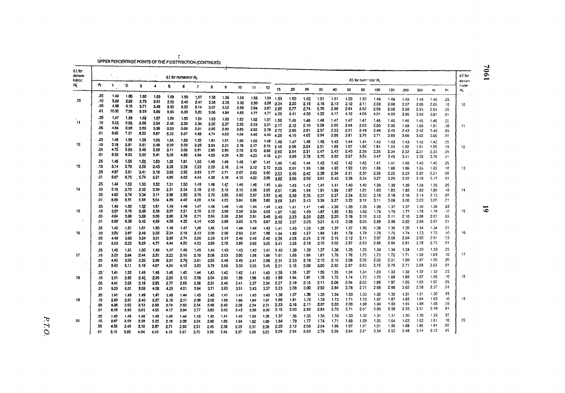T<br>UPPER PERCENTAGE POINTS OF THE F DISTRIBUTION (CONTINUED)

| $d.f.$ for<br>denom-<br>Indtor, |               |                   |              |              |              |               | d.f. for numerator N. |              |              |      |          |          |           |               |                  |               |              |              |              | d.f. for numerator N, |              |              |              |              |              |            | d.f.for                   |
|---------------------------------|---------------|-------------------|--------------|--------------|--------------|---------------|-----------------------|--------------|--------------|------|----------|----------|-----------|---------------|------------------|---------------|--------------|--------------|--------------|-----------------------|--------------|--------------|--------------|--------------|--------------|------------|---------------------------|
| N,                              | ۰Pr           | $1 -$             | $^{\circ}$ 2 | 3            | 4            | Б             | e.                    | 7            | 8            | 9    | 10       |          | $11 - 12$ | 15.           | 20               | 24            | 30           | 40           | 50           | 60                    | 100          | 120          | 200          | 500          | œ            | Ρŗ         | denom-<br>inator<br>$N_2$ |
|                                 | $.25^{\circ}$ | 1.49              | 1.60         | 1.60         | 1,59         | 1.59          | 1.58                  | 1,57         | 1.56         | 1.56 | 1.55     | $4.55 -$ |           | $1.54$ 1.53   |                  |               |              |              |              |                       |              |              |              |              |              |            |                           |
| 10                              | . 10          | 3.29              | 2.92         | 2.73         | 2.61         | 2.52          | 2.46                  | 2.41         | 2.38         | 2.35 | 2.32     | 2.30     |           | $2.28 - 2.24$ | $1.52 -$<br>2.20 | 1.52.<br>2.18 | 1.51<br>2.16 | 1.51<br>2.13 | 1.50<br>2.12 | 1.50<br>2.11          | 1.49<br>2.09 | 1.49<br>2.08 | 1.49         | 1.48         | 1.48         | .25        |                           |
|                                 | .05           | 4.98              | 4.10         | 3.71         | 3.48         | 3.33          | 3.22                  | 3.14         | 3.07         | 3.02 | 2.98     | 2.94     |           | 2.91 2.85     | 2.77             | 2.74          | 2.70         | 2.66         | 2.64         | 2.62                  | 2.59         | 2.58         | 2.07<br>2.56 | 2.06<br>2.55 | 2.06<br>2.54 | -10<br>.05 | 10                        |
|                                 | .01           | 10.00             | 7.56         | 6.55         | 5.09         | 5.64          | 5.39                  | 5.20         | 5.06         | 4.94 | $4.85 -$ | 4.77     | 4,71      | 4.56          | 4.41             | 4.33          | 4.25         | 4.17         | 4.12         | 4.08                  | 4.01         | 4.00         | 3.96         | 3.93         | 3.91         | .01        |                           |
|                                 | 25            | 1.47              | 1.58         | 1.58         | 1.57         | 1.56          | $-1.55$               | 1.54         | 1.53         | 1.53 | 1.52     | 1.52     | 1.51      | 1.50          | 1.49             | .149          | 1.48         | 1.47         | 1.47         |                       |              |              |              |              |              |            |                           |
| 11                              | .10           | 3.23              | 2,86         | 2.66         | 2.54         | 2.45.         | 2.39                  | 2.34         | 2.30         | 2.27 | 2.25     | 2.23     | 2.21      | 2.17          | 2.12             | 2.10          | 2.08         | 2.05         | 2.04         | 1.47<br>2.03          | 1.46<br>2.00 | 1.46<br>2.00 | 1.46         | 1.45         | 1.45         | .25        |                           |
|                                 | .06           | 4.84              | 3.98         | 3.59         | 3.36         | $-3.20$       | $-3.09$               | 3.01         | 2.95         | 2.90 | 2.85     | 2.82     | 2.79      | 2.72          | 2.65             | 2.61          | 2.57         | 2.53         | 2.51         | 2.49                  | 2.46         | 2.45         | 1.99<br>2.43 | 1.98<br>2,42 | 1.97<br>2.40 | .10<br>.05 | 11                        |
|                                 | .01           | 9,65              | 7.21         | .6.22        | 5.67         | 5.32          | 5.07                  | 4.89         | 4,74         | 4.63 | 4.54     | 4.46     | 4.40      | 4.25          | 4.10             | 4.02          | 3.94         | 3.86         | 3.81         | 3.78                  | 3.71         | 3.69         | 3.66         | 3.62         | 3.60         | .01        |                           |
|                                 | .25           | 1,46              | 1.56         | 1.58         | 1.55         | 1.54          | 1.53                  | 1.52         | 1.51         | 1.51 | 1.50     | 1.50     | 1.49      |               |                  |               |              |              |              |                       |              |              |              |              |              |            |                           |
| 12                              | .10           | 3.18              | 2.81         | 2.61         | 2.48         | 239           | 2.33                  | 2.28         | 2.24         | 2.21 | 2.19     | 2.17     | 2.15      | 1.48<br>2.10  | 1.47<br>2:06     | 1.46<br>2.04  | 1.45<br>2.01 | 1.45<br>1.99 | 1.44<br>1.97 | 1.44<br>1.96          | 1.43<br>1.94 | 1.43<br>1.93 | 1.43<br>1.92 | 1.42<br>1.91 | 1.42<br>1,90 | .25<br>.10 | 12                        |
|                                 | .05           | 4.76              | 3.89         | 3.49         | 3.26         | 3.11          | 3.00 <sub>1</sub>     | 2.91         | 2.85         | 2.80 | 2:75     | 2.72     | 269       | 2.62          | 2.54             | 2.51          | 2.47         | 2.43         | 2.40         | 2.38                  | 2.35         | 2.34         | 2.32         | 2.31         | 2.30         | .05        |                           |
|                                 | .01           | 9.33              | 6.93         | 5.95         | 5.41         | 5.06          | 4.82                  | 4.64         | 4.50         | 4,39 | 4.30     | 4.22.    | 4.16      | 4.01          | 3.86             | 3.78          | 3.70.        | 3.62         | 3.57         | 3.54                  | 3.47         | 3.45         | 3.41         | 3.38         | 3.36         | .01        |                           |
|                                 | .25           | 1.45              | 1.55         | 1.55         | 1.53         | 1.52          | 1.51                  | 1.50         | 1.49         | 1.49 | 1.4B     | 1.47     | 1.47      |               |                  |               |              |              |              |                       |              |              |              |              |              |            |                           |
| 13                              | .10.          | 3.14              | 2.78         | 2.56         | 2.43         | 2.35          | 2.28                  | 2.23         | 2.20         | 2.16 | 2.14     | 2.12     | 2.10      | 1.46          | 1.45             | 1.44          | 1.43         | 1.42         | 1.42         | 1:42                  | 1.41<br>1.88 | 1.41         | 1.40         | 1.40         | 1.40         | .25<br>10  |                           |
|                                 | .05           | 4.67              | 3.81         | 3,41         | 3.18         | 3.03          | 2.92                  | 2.83         | 2.77         | 2.71 | 2.67     | 2.63     | 2.60      | 2.05          | 2.01             | 1,98          | 1.96         | $-1.93$      | 1.92         | 1.90                  |              | 1.88         | 1.86         | 1.65         | 1.85<br>2.21 | .05        | 13                        |
|                                 | .01           | 9.07              | 6.70         | 5.74         | 5.21         | 4.86          | 4.62                  | 4.44         | 4.30         | 4.19 | 4.10     | 4.02     | 3.96      | 2.53<br>3.82  | 2.46<br>3.66     | 2.42<br>3.59  | 2.38<br>3.51 | 2.34<br>3.43 | 2.31<br>3.38 | 2.30<br>3.34          | 2.26<br>3.27 | 2.25<br>3.25 | 2.23<br>3.22 | 2.22<br>3.19 | 3.17         | .01        |                           |
|                                 | .25           |                   |              |              |              |               |                       |              |              |      |          |          |           |               |                  |               |              |              |              |                       |              |              |              |              |              |            |                           |
| 14                              | .10           | 1.44<br>3.10      | 1.53<br>2.73 | 1,53<br>2.52 | 1.52<br>2.39 | 1.51<br>2.31  | 1.50                  | 1.49         | 1.48         | 1.47 | 1.46     | 1,46     | 1.45      | 1.44          | 7.43             | 1.42          | 1.41         | 1.41         | 1.40         | 1.40                  | 1.39         | 1.39         | 1.39         | 1,38         | 1.38         | .25        |                           |
|                                 | .05           | 4.60              | 3.74         | 3.34         |              |               | 2.24                  | 2.19         | 2.15         | 2.12 | 2.10     | 2.08     | 2.05      | 2.01          | 1.96             | 1.94          | 1.91         | 1.89         | 1.87         | 1,85                  | 1.83         | 1.63         | 1.82         | 1.80         | 1.80         | 10         | 14                        |
|                                 | .01           | 8.86              | 6.51         | 5.56         | 3.11         | 2.96<br>4.69  | 2.85<br>4.46          | 2.76<br>4.28 | 2.70<br>4.14 | 2.65 | 2.60     | 2.57     | 2.53      | 2.46          | 2.39             | 2.35          | 2.31         | 2.27         | 2.24         | 2.22                  | 2.19         | 2.18         | 2.16         | 2.14         | 2.13         | .05        |                           |
|                                 |               |                   |              |              | 5.04         |               |                       |              |              | 4.03 | 3.94     | 3.86     | 3.80      | 3.66          | 3.51             | 3,43          | 3.35         | 3.27         | 3.22         | 3.18                  | 3.11         | 3.09         | 3.06         | 3.03         | 3.00         | 01         |                           |
|                                 | .25           | 1.43              | 4.52         | 1.52         | 1.51         | 1,49          | 1.48                  | 1,47         | 1.46         | 1.46 | 1.45     | 1.44     | 1,44      | 1.43          | 1.41             | 1.21          | 1.40         | 1.39         | .1.39        | 1.38                  | 1.38         | 1.37         | 1.37         | 1.36         | 1.36         | .25        |                           |
| 15                              | .10           | 3.07              | 2.70         | 249          | 2.36         | 227           | 221                   | 2.16         | 2.12         | 2.09 | 2.06     | 2.04     | 2.02      | 1.97          | 1.92             | 1.90          | 1,87         | 1.85         | 1.83         | 1.82                  | 1.79         | 1.79         | 1.77         | 1.76         | 1.76         | .10        | 15                        |
|                                 | .05<br>0۱.    | 4:54<br>8.68      | 3.68<br>6.36 | 3.29<br>5.42 | 3.06         | .2.90<br>4.56 | 2.79<br>4.32          | 2.71         | 2.64         | 2.59 | $-2.54$  | 2.51     | 2.48.     | 2.40          | 233              | 2.29          | 2.25         | 2.20         | 2.18         | 2.16                  | 2.12         | 2.11         | 2.10         | 2.08         | 2.07         | .05        |                           |
|                                 |               |                   |              |              | 4.69         |               |                       | $-4.14$      | 4.00         | 3.89 | 3.80     | 3.73     | 3.67      | 3.52          | 3.37             | $-3.29$       | 3.21         | 3.13         | 3.08         | 3.05                  | 2.98         | 2.96         | 2.92         | 2.89         | 2.87         | .01        |                           |
|                                 | .25           | 1.42 <sup>°</sup> | -1.51        | 1.51         | 1.50         | 1,48          | 1.47                  | 1,46         | 1.45         | 1,44 | 1.44     | 1.44     | 1.43      | 1.41          | 1.40             | 1.39          | 1.38         | 1.37         | 1.37         | 1.36                  | 1.36         | 1.35         | 1.35         | 1.34         | 1.34         | .25        |                           |
| 16                              | .10           | 3.05              | 2.67         | 2.46         | 2.33         | 2.24          | 2.18                  | 2.13         | 2.09         | 2.06 | 2.03     | 2.01     | 1.99      | 1.94          | 1.89             | $-1.67$       | 1.84         | 1.81         | 1.79         | 1.78                  | 1.76         | 1.75         | 1.74         | 1.73         | 1.72         | . 11)      | 16                        |
|                                 | :05           | 4.49              | 3.63         | 3.24         | 3.01         | 2.85          | 2.74                  | 2.66         | 2.59         | 2.54 | 2.49     | 2.46     | 2.42      | .2.35         | 2.28             | 2.24          | 2.19         | 2.15         | 2.12         | 2.11                  | 2.07         | 2.06         | 204          | 2.02         | 201<br>2.75  | -95        |                           |
|                                 | .01           | 8.53              | 6.23         | 5.29         | 4.77         | 4.44          | 4.20                  | 4.03         | 3.89         | 3.78 | 3.69     | $-3,62$  | 3.55      | 3.41          | 3.26             | 3.18          | 3.10         | 3.02         | 2.97         | 2.93                  | 2.86         | 2.84         | 2,81         | 2.78         |              | .01        |                           |
|                                 | .25           | 1,42              | 1,51         | 1.50         | 1.49         | 1,47          | 1.46                  | 1.45         | 1,44         | 1.43 | 1.43     | 1.42     | 1.41      | 1.40          | 1.39             | 1.38          | 1.37         | 1.36         | 1.35         | 1.35                  | 1.34         | 1.34         | 1.34         | 1.33         | 1.33         | .25        |                           |
| 17                              | .10           | 3.03 <sup>°</sup> | 2.64         | 2.44         | 2.31         | 2:22          | 2.15                  | 2.10         | 2.06         | 2.03 | 2.00     | 1.98     | 1.96      | 1.91          | 1.86             | 1.84          | 1.81         | 1.78         | 1.76         | 1.75                  | 1.73         | 1.72         | 1.71         | 1.69         | 1.69         | .10        | 17                        |
|                                 | .05           | 4,45              | 3.59         | 3.20         | 2.96         | 2,81          | 2.70                  | 2.61         | 2.55         | 2.49 | 2.45     | $-2.41$  | 2.38      | 2.31          | 2.23             | 2.19          | 2:15         | 2.10         | 2.08         | 2.06                  | 2.02         | 2.01         | 1.99         | 1.97         | 1.96         | .05        |                           |
|                                 | .01           | 8.40              | 6.11         | 5.18         | 4,67         | 4.34          | 4.10                  | 3.93         | 3.79         | 3.68 | 3.59     | 3.52     | 3.46      | 3.31          | 3.16             | 3.08          | 3.00         | 2.92         | 2.87         | 2.83                  | 2.76         | 2.75         | 2,71         | 2.68         | 2.65         | .01        |                           |
|                                 | .25           | 1.41              | 1.50         | 1.49         | 1.48         | 1.46          | 1.45                  | 1.44         | 1,43         | 1.42 | 1.42     | 1.41     | 1.40      | 1.39          | 1.38             | 1,37          | 1.36         | 1.35         | 1.34         | 1.34                  | 1.33         | 1.33         | 1.32         | 1.32         | 1.32         | .25        |                           |
| 18                              | .10           | 3.01              | 2.62         | 2.42         | 2.29         | 220           | 2.13                  | 2.08         | 2.04         | 2.00 | 1.98     | 1.96     | 1.93      | 1.89          | 1.84             | 1.81          | 1.78         | 1.75         | 1.74         | 1.72                  | 1.70         | 1.69         | 1.68         | 1.67         | 1.66         | .10        | 19                        |
|                                 | .05           | 4:41              | 3.55         | 3.16         | 2.93         | 2.77          | 2.66                  | 2.58         | .2.51        | 2.46 | 2.41     | 2.37     | 2.34      | 2.27          | 2.19             | 2.15          | 2.11         | 2.06         | 2.04         | 2.02                  | 1.98         | 1.97         | 1.95.        | 1,93         | 1.92         | .0S        |                           |
|                                 | .01           | 3:29              | 6.01         | 5.09         | 4,58         | 4.25          | 4.01                  | 3.84         | 3.71         | 3.60 | 3.51     | 3,43     | 3.37      | 3.23          | 3.08             | 3.00          | 2.92         | 2.84         | 2.78         | 2.75                  | 2.68         | 2.66         | 2.62         | 2.59         | 2.57         | .01        |                           |
|                                 | .25           | 1.41              | 1.49         | 1.49         | 1.47         | 1,48          | 1.44                  | 1.43         | 1.42         | 1,41 | 1.41     | 1.40     | 1.40      | 1.38          | 1.37             | 1.36          | 1.35         | 1.34         | 1.33         | 1.33                  | 1.32         | 1,32         | 1.31         | 1.31         | 1.30         | .25        |                           |
| 19                              | ٥۲.           | 2.99              | 2.61         | 2.40         | 2.27         | 2.10          | 2.11                  | 2.08         | 2.02         | 1.98 | 1.96     | 1.94     | 1:91      | 1.86          | 1.81             | 1.79          | 1.76         | 1.73         | 1.71         | 1.70                  | 1.67         | 1.67         | 1.65         | 1.64         | 1.63         | 10         | 19                        |
|                                 | .05           | 4.38.             | 3.52         | 3.13         | 2.90         | 2.74          | 2.63                  | 2.54         | 2.48         | 2.42 | 2:38     | 2.34     | 2.31      | 2.23          | 2.16             | 2.11          | 2.07         | 2.03         | 2.00         | 1.98                  | 1.94         | 1.93         | 1.91         | 1.89         | 1.88         | .05        |                           |
|                                 | .01           | 8.18              | 5.93         | 5.01         | 4.50         | 4.17          | 3.94                  | 3.77         | 3.63         | 3.62 | 3.43     | 3.36     | 3.30      | 0.15          | 3.00             | 2.92          | 2.84         | 2.76         | 2.71         | 2.6?                  | 2.60         | 256          | 2.55         | 2.51         | 2.49         | .01        |                           |
|                                 | 25            | 1.40              | 1.49         | 1.48         | 1.46         | 1.45          | 1.44                  | 1.43         | 1.42         | 1,41 | $-1.40$  | 1.39     | 1.39      | $-1.37$       | - 36             | 1.35          | 1.34         | 133          | 1.33         | 1.32                  | 1,31         | 1.31         | 1.30         | 1.30         | 1.29         | 55         |                           |
| 20                              | .10           | 2.97              | 2.59         | 2,38         | 2.25         | 2.15          | 2.09                  | 2.04         | 2.00         | 1,96 | 1.94     | 1.92     | 1.89      | 1,84          | :79              | 1.77          | 1.74         | 1,71         | 1.69         | 1.69                  | 1.65         | 1.64         | 1.63         | 1.52         | 1.61         | 10         | 20                        |
|                                 | .05           | 4.35              | 3.49         | 3,10         | 2.87         | 2.71          | 2.60                  | 2.51         | 2.45         | 2.39 | 2.35     | 2.31     | 2.28      | 2.20          | 2.12             | 2.08          | 2.04         | 1.99         | 1.97         | 1.95                  | 1,91         | 1.90         | 1.88         | 1.86         | 184          | .GS        |                           |
|                                 | .01           | 8.10              | 5.85         | 4,94         | 4.43         | 4.10          | 3.87                  | 3.70         | 3.56         | 3.46 | 3.37     | 3.29     | 3.23      | 3.09          | 2.94             | 2.86          | 2.78         | 2.69         | 2.64         | $2.6*$                | 2.54         | 2.52         | 2.48         | 2.44         | 2.42         | .01        |                           |

1904

P.T.O.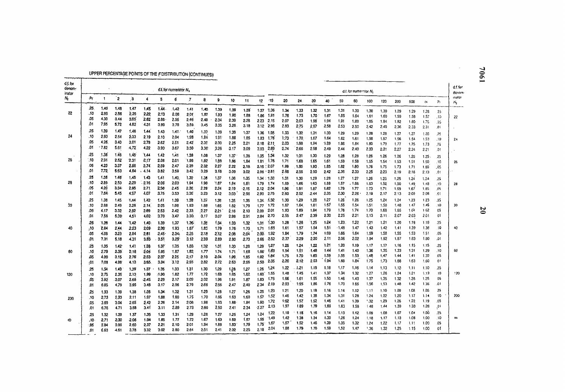### UPPER PERCENTAGE POINTS OF THE FDISTRIBUTION (CONTINUED)

| d.f.for<br>denom-<br>inator |            |              |                         |                     |          |       | d.f. for numerator N. |                   |       |         |       |         |           |                 |         |              |         |         |         | d.t. for numerator N <sub>1</sub> |              |      |      |              |          |            | $d.f.$ for<br>denom |
|-----------------------------|------------|--------------|-------------------------|---------------------|----------|-------|-----------------------|-------------------|-------|---------|-------|---------|-----------|-----------------|---------|--------------|---------|---------|---------|-----------------------------------|--------------|------|------|--------------|----------|------------|---------------------|
| Μ,                          | ۰Pr.       | 1            | $\overline{\mathbf{2}}$ | $\ddot{\mathbf{3}}$ | 4        | 5     | 6                     | 7                 | 8     | 9       | 10    | 11      | 12        | $-15$           | 20      | 24           | 30      | 40      | 50      | 60                                | 100          | 120  | 200  | 500          | $\infty$ | Pr.        | mator<br>Ν,         |
|                             | 25.        | 1.40         | 1.48                    | 1.47                | 1:45     | 144   | 1.42                  | 1.41              | 1.40. | 1.39    | 1,39  | 1.36    |           | 1:37 1:36       | 1.34    | 1.33         | 1.32    | 1.31    | 1.31    | 1.30                              | 1.30         | 1.30 | 1.29 | 1.29         | 1.28     | 25         |                     |
| 22                          | .10        | 2.95         | 2.56                    | $2.35 -$            | 2.22     | 2.13  | 2.08                  | 2.01              | 1.97  | 1.93    | 1.90  | 1.88    | 1.86      | 1.81            | 1.76    | 1.73         | 1.70    | 1.67    | 1.65    | 1.64                              | 1,61         | 1.60 | 1.59 | 1.58         | 1.57     |            |                     |
|                             | .05        | 4.30         | 3.44                    | 3.05                | 2.82     | 2.66  | 2.55                  | 2.46              | 2.40  | $-2.34$ | 2.30  | 2.26    |           | $2.23$ $2.15$   | 2.07    | 2.03         | 1.98    | 1.94    | 1.91    | 1.89                              | 1.85         | 1,84 | 1.82 | 1.80         | 1.75     | .15<br>.05 | 22                  |
|                             | .01        | 7,95         | 5.72                    | 4.82                | 4.31     | 3,99  | 3.76                  | 3.59.             | 3.45  | 3.35    | 3.26  | 3.18    |           | 3.12 2.98       | 2.83    | 2.75         | 2.67    | 2.58    | 2.53    | 2.50                              | 2.42         | 2.40 | 2.36 | 2.33         | 2.31     | .01        |                     |
|                             | .25        | 1.39         | 1.47                    | 1.46                | 1.44     | 1.43  | 1.41.                 | 1.40              | 1.39  | 1.38    | 1.38  |         |           |                 |         |              |         |         |         |                                   |              |      |      |              |          |            |                     |
| 24                          | .10        | 2.93         | 2.54                    | 2,33                | 2.19     | 2.10  | 2.04                  | 1.98              | 1.94  | 1.91    | 1.88  | 1:37    |           | 1.36 1.35       | 1.33    | 1.32         | 1.31    | 1.30    | 1.29    | 1.29                              | 1,28         | 1.28 | 1.27 | 1.27         | 1.26     | .25        |                     |
|                             | .05        | 4.26.        | 3.40                    | 3.01                | 2.78     | 2.62  | 2.51                  | 2.42              | 2.35  |         |       | 1.85    |           | 1.83 1.78       | 1:73    | 1.70         | 1.67    | 1.64    | 1.62    | 1.61                              | 1,56         | 1.57 | 1.56 | 1.54         | 1.53     | .10        | 24                  |
|                             | .01        | .7.82        | 5.61                    | $-4.72$             | 4.22     |       |                       |                   |       | 2.30    | 2.25  | 2.21    |           | $2.18$ $2.11$   | 2.03    | 1.98         | 1.94    | $-1.89$ | 1.86    | 1.84                              | 1.80         | 1.79 | 1.77 | 1.75         | 1.73     | 05         |                     |
|                             |            |              |                         |                     |          | 3.90  | 3.67                  | 3.50              | 3.35  | 3.26    | 3.17  | 3.09.   |           | $3.03$ 2.89     | 2,74    | 2.66         | 2.58    | 2.49    | 2.44    | 2.40                              | 2.33         | 2.31 | 2.27 | 2.24         | 2.21     | .01        |                     |
|                             | :25        | 1.38         | 1.46                    | 1.45                | 1.44     | 1.42  | 1,41                  | 1.39              | 1,38  | 1.37    | 1.37  | 1.36    | 1.35      | 1.34            | 1.32    | 1.31         | 1.30    | 1.29    | 1.28    | 1,28                              | 1,26         | 1.26 | 1.26 | 1.25         | 1.25     | .25        |                     |
| 26                          | .10        | 2.91         | 2.52                    | 2.31                | 2.17     | 2.08  | 2.01                  | 1.96              | 1.92  | 1,88    | 1.86  | 1.84    |           | 1.81 1.76       | 1.71    | 1.68         | 1.65    | 1.61    | 1.59    | 1.58                              | 1.55         | 1.54 | 1.53 | 1.51         | 1.50     | .1C        | 26                  |
|                             | .05        | 4.23         | 3.37                    | 2.98                | 2,74     | 2.59  | 2.47                  | 2,39              | 2.32  | 2.27    | 2.22  | 2.18    |           | $2.15$ , $2.07$ | 1.99    | . 1.95       | 1.90    | 1.85    | 1.82    | 1.80                              | 1.76         | 1.75 | 1.73 | 1.71         | 1.69     | .05        |                     |
|                             | .01        | 7.72         | 5.53                    | 4.84                | 4.14     | 3.82  | 3.59                  | 3.42              | 3.29  | 3.18    | 3.09  | 3.02    |           | $2.96 - 2.81$   | 2.66    | 2.58         | 2.50    | 2.42    | 2.36    | 2.33                              | 2.25         | 2.23 | 2.19 | 2.16         | 2.13     | .01        |                     |
|                             | .25        | 1.38         | 1.48                    | 1.45                | 1.43     | 1.41  | 1.40                  | 1.39              | 1.38  | 1.37    | 1.36  | 1.35    |           | 1.34 : 1.33     | 1.31    | 1.30         | 1.29    | 1.28    | 1.27    | 1.27                              | 1,26         | 1.25 | 1,25 | 1.24         | 1.24     | .25        |                     |
| 28                          | :10        | $-2.89$      | 2.50                    | 2.29                | $-2.16$  | 2.06  | 2.00                  | 1.94              | 1.90  | 1.87    | 1.84  | 1.81    |           | 1.79 1.74       | 1.69    | 1.66         | 1:63    | 1.59    | 1.57    | .1.56                             | 1.53         | 1.52 | 1.50 | 1.49         | 1.48     | $.10 -$    | 28                  |
|                             | .05        | 4.20         | 3.34:                   | 2,95                | 2.71     | 2.56  | 2.45                  | 2.36              | 2.29  | 2.24    | 2.19  | $-2.15$ |           | 2.12 2.04       | 1.96    | 1.91         | 1.87    | 1.82    | 1.79    | 1.77                              | 1.73         | 1.71 | 1.69 | 1.67         | 1.65     | .05        |                     |
|                             | .01        | 7.64         | 5.45                    | 4.57                | 4.07     | 3.75  | 3.53                  | 3,36              | 3.23  | 3.12    | 3.03  | 2.96    |           | 2.90 2.75       | 2.60    | 2.52         | $-2.44$ | 2.35    | 2.30    | 2.26                              | 2.19         | 2.17 | 2.13 | 2.09         | 2.06     | .01        |                     |
|                             | .25        | 1.38         | 1:45                    | 1,44                | $1.42 -$ | 1.41  | 1.39                  | 1.38              | 1,37  |         |       |         |           | 1.34.1.32       | 1.30    | 1.29         | 1.28    | 1,27    | 1.26    | 1,26                              | 1.25         | 1.24 | 1.24 | 1.23         | 1.23     | .25        |                     |
| 30                          | .10        | 2.88         | 2.49                    | 2.28                | 2.14     | 2.05  | 1:98                  | 1.93 <sub>1</sub> | 1.88  | 1.36    | 1.35  | 1.35    |           | $1.77 - 1.72$   | 1.67    | 1.64         | 1.61    | 1.57    | 1,55    | 1.54                              | 1.51         | 1.50 | 1.48 | 1.47         | 1.46     | .10        | 30                  |
|                             |            |              | 3.32                    |                     |          |       |                       |                   |       | 1.85    | 1.82  | 1.79    |           | 2.01            | 1.93    | 1.89         | 1.84    | 1.79    | 1.78    | 174                               | 1.70         | 1.68 | 1.66 | 1.64         | 162      | 05         |                     |
|                             | .05<br>.01 | 4.17<br>7.56 |                         | 2.92                | 2.69     | 2.53  | 2.42                  | 2.33              | 2.27  | $-2.21$ | 2.16  | 2.13    | 2.09      | 2.70            | 2.55    | 2.47         | 2.39    | 2.30    | 2.25    | 2.21                              | 2.13         | 2.11 | 2.07 | 2.03         | 2.01     | 01         |                     |
|                             |            |              | 5.39                    | 4,51                | 4.02     | 3.70  | 3,47                  | 3.30.             | 3.17  | 3.07    | 2.98  | 2.91    | 2.84      |                 |         |              |         |         |         |                                   |              |      |      |              |          |            |                     |
|                             | 25         | 1.38         | 1.44                    | `1.42               | 1.40:    | 1.39  | 1:37                  | 1.36.             | 1.35  | 1.34    | 1.33  | 1.32    | 1.31      | -1.30           | 1.28    | 1.26         | 1.25    | 1,24    | 1.23    | 1.22                              | 1,21         | 1.21 | 1.20 | 1.19         | 1.19     | .25        |                     |
| 40                          | 10،        | 2.84         | 2.44                    | 223                 | 2.09     | 2.00  | 1.93                  | 1.87              | 183   | 1.79    | 1.76  | 1.73    | 1.71 1.65 |                 | 1.61    | 1.57         | 1.54    | 1.51    | $-1.48$ | 1.47                              | 1.43         | 1.42 | 1.41 | 1.39         | 1.38     | .10        | 40                  |
|                             | .05        | 4.08         | 3.23                    | 2.84                | 2.61     | 2.45  | 2.34 <sub>i</sub>     | 2.25              | 2.18  | 2:12    | 2.08  | 2.04    | $2.00 -$  | 1.92            | 1.84    | 1.79         | 1.74    | 1:69    | 1.66    | 1.64                              | 1.59         | 1.58 | 1.55 | 1.53         | 1.51     | .05        |                     |
|                             | .01        | 7.31         | 5.18                    | 4.31                | 3.83     | 3.51  | 3.29                  | 3,12              | 2.99  | 2.89    | 2.80  | 2.73    | 2.66      | 2.52            | 2.37    | 2.29         | 2.20    | 2.11    | 2.06    | 2.02                              | 1.94         | 1.92 | 1.87 | 1.83         | 1.80     | .01        |                     |
|                             | .25        | 1.35         | $1.42 -$                | 1.41                | 1.38     | 1,37  | 1.35                  | 1.33              | 1.32  | 1,31    | 1,30  | 1,29    | 1.29      | 1.27            | 1.25    | 1.24         | 1.22    | 1.21    | 1.20    | 1.19                              | 1.17         | 1.17 | 1.16 | 1.15         | 1.15     | -25        |                     |
| 60                          | .10        | 2.79         | 2.39                    | 2,18                | 2.04     | 1.95  | $-1.87$               | 1.82              | 1.77  | 1.74    | 1.71. | 1.6B    | 1.66      | 1.60            | 1.54    | 1.51         | 1.48    | 1.44    | 1.41    | 1.40                              | 1.36         | 1.35 | 1.33 | 1.31         | 1.29     | .10        | 60                  |
|                             | ,05        | 4.00         | 3.15                    | 2.76                | $2.53 -$ | 2.37  | 2.25                  | 2.17              | 2.10  | $-2.04$ | 1.99  | 1.95    | 1.92      | 1.84            | 1,75    | 1.70         | 1.65    | 1.59    | 1.55    | 1.53                              | 1.48         | 1.47 | 1.44 | 1.41         | 1.39     | .05        |                     |
|                             | -01        | 7.08         | 4.98                    | 4.13                | 3.65     | 3.34  | 3.12                  | 2.95              | 2.82  | 2.72    | 2.63  | 2.56    | $2.50 -$  | 2.35            | $-2.20$ | 2.12         | 2.03    | 1.94    | 1.83    | 1.84                              | 1.75         | 1.73 | 1.68 | 1.63         | 1,60     | 01         |                     |
|                             |            |              |                         |                     |          |       |                       |                   |       |         |       |         |           | 1,24            | 1.22    | $-1.21$      | 1.19    | 1.18    | 1.17    | 1.16                              | 1.14         | 1.13 | 1.12 | 1.11         | 1.10     | .25        |                     |
|                             | .25        | 1.34         | 1.40                    | 1.39                | 1.37     | 1.35  | 1.33                  | 1.31              | 1.30  | 1.29    | 1.28  | 1.27    | 1.26      | 1.55            | 1.48    | 1.45         | 1.41    | 1,37    | 1.34    | 1.32                              | 1.27         | 1.26 | 1.24 | 1.21         | 1.19     | 10         | 120                 |
| 120                         | .10        | 2.75         | 2.35                    | 2.13                | 1.99     | -1.90 | 1.82                  | 1, 77             | 1.72  | $-1.68$ | 1.65  | 1.62    | 1,60      |                 | 1.66    |              | 1.55    | 1,50    | 1.46    | 1.43                              |              | 1.35 |      |              | 1.25     | 05         |                     |
|                             | .05        | 3.92         | .3.07                   | 2.68                | -2.45    | 2.29  | 2.17                  | 2.09              | 2.02  | 1.96    | 1.91  | 1.87    | 1.83      | -1.75           | 2.03    | 1.61<br>1:95 | 1.86    | 1.76    | 1.70    | 1.66                              | 1.37<br>1.56 | 1,53 | 1.32 | 1.28<br>1.42 | 1.38     | .01        |                     |
|                             | .01        | 6.65         | 4.79                    | 3.95                | 3.48     | 3,17  | 2.96                  | 2.79              | 2.66  | 2.56    | 2.47  | 2.40    | 2.34      | -2.19           |         |              |         |         |         |                                   |              |      | 1.48 |              |          |            |                     |
|                             | .25        | 1.33         | 1.39                    | 1.38                | 1.36     | 1,34  | 1.32                  | 1.31              | 1.29  | 1.28    | 1.27  | 1.26    | 1.25      | 1.23            | 1.21    | 1.20         | 1.18    | 1,16    | 1.14    | 1.12                              | 1.11         | 1.10 | 1.09 | 1.08         | 1.06     | .25        |                     |
| 200                         | .10        | 2.73         | 2.33                    | 2.11                | 1.97     | 1.88  | 1.80                  | 1.75              | 1.70  | 1.66    | 1.63  | 1.60    | 1.57      | -1.52           | 1.46    | 1.42         | 1,38    | 1.34    | 1.31    | 1.28                              | 1.24         | 1.22 | 1.20 | 1.17         | 1.14     | 10         | 200                 |
|                             | .05        | 3.89         | 3.04                    | 2.65                | 2.42     | 2.26  | 2.14                  | 2.06              | 1.98  | 1.93    | 1.88  | 1.84    | 1.80      | 1.72            | 1.62    | 1.57         | 1.52    | 1,46    | 1.41    | 1.39                              | 1.32         | 1.29 | 1.26 | 1.22         | 1.19     | .cs        |                     |
|                             | .01        | 6.76         | 4.71                    | 3.88                | 3.41     | 3.11  | 2.89                  | 2.73              | 2.60  | 2.50    | 2.41  | 2.34    | $-2.27$   | -2.13           | 1.97    | 1.89         | 1.79    | 1.69    | 1.63    | 1.58                              | 1.48         | 1.44 | 1.39 | 1.33         | 1.28     | ٥١.        |                     |
|                             | .25        | 1.32         | 1.39                    | 1.37                | 1.35     | 1.33  | 1.31                  | 1.29              | 1.28  | -1.27   | 1,25  | 1.24    | 1,24      | 1.22            | 1.19    | 1.18         | 1.16    | 1.14    | 1.13    | 1.12                              | 1.09         | 1.08 | 1.07 | 1.04         | 1.00     | .25        |                     |
| Ф                           | 10.        | 271          | 2.30                    | .2.08               | 1.94     | 1.85  | 1, 77                 | 1.72              | 1.67  | 1.63    | 1.60  | 1.57    | 1.55      | 1.49            | 1.42    | 1.38         | 1.34    | 1.30    | 1.26    | 1.24                              | 1.18         | 1.17 | 1.13 | 1.08         | 1.00     | .10        | ô                   |
|                             | .05        | 3.84         | 3.00                    | 2.60                | 2,37     | 2.21  | 2.10                  | 2.01              | 1.94  | 1.88    | 1.83  | 1.79    | 1,75      | 1,67            | 1.57    | 1.52         | 1.46    | 1.39    | 1.35    | 1.32                              | 1.24         | 1.22 | 1.17 | 1.11         | 1.00     | .05        |                     |
|                             | .01        | 6.63         | 4.61                    | 3,78                | 3.32     | 3.02  | 2.80                  | 2.64              | 2.51  | 2.41    | 2:32  | 2.25    | 2.18      | 2.04            | 1.88    | 1.79         | 1.70    | 1.59    | 1.52    | 1.47                              | 1.36         | 1.32 | 1.25 | 115          | 1.00     | 01         |                     |
|                             |            |              |                         |                     |          |       |                       |                   |       |         |       |         |           |                 |         |              |         |         |         |                                   |              |      |      |              |          |            |                     |

 $\sim 10^{-1}$ 

 $\mathfrak{g}$ 

1904

 $\sim 200$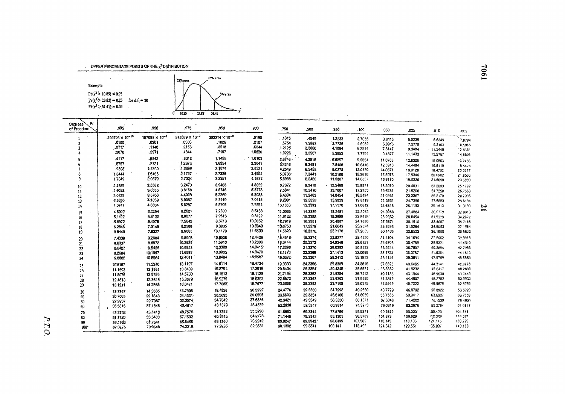. UPPER PERCENTAGE POINTS OF THE  $\chi^2$  DISTRIBUTION.



| Pr<br>Degrees<br>of Freedom | .995                       | .990                    | .975                     | .950                    | .900           | .750       | .500     | .250     | .100    | .050    |         |            |          |
|-----------------------------|----------------------------|-------------------------|--------------------------|-------------------------|----------------|------------|----------|----------|---------|---------|---------|------------|----------|
|                             |                            | $157088 \times 10^{-9}$ | $.982069 \times 10^{-9}$ | $393214 \times 10^{-8}$ |                |            |          |          |         |         | .025    | .010       | .005     |
|                             | 392704 × 10 <sup>-10</sup> |                         | .0506                    |                         | .0158          | . .1015    | .4549    | 1.3233   | 2.7055  | 3.8415  | 5.0239  | 6.6349     | 7.8794   |
|                             | .0100                      | .0201                   | .2158                    | .1028<br>.3518          | .2107<br>.5844 | .5754      | 1.3863   | 2.7728   | 4,6052  | 5.9915  | 7.3778  | 9.2103     | 10.5966  |
|                             | .0717                      | .1148                   | 4844                     | .7107                   | 1.0636         | 1.2125     | 2.3660   | 4.1084   | 6.2514  | 7.8147  | 9.3484  | $-11.3449$ | 12 8381  |
|                             | :2070                      | .2971                   |                          |                         |                | 1.9226     | 3.3567   | 5.3853   | 7,7794  | 9.4877  | 11.1433 | 13.2767    | 14.8802  |
|                             | .4117                      | .5543                   | .8312                    | 1.1455                  | 1.6103         | $2.6746 -$ | 4.3515   | .6.6257  | 9.2364  | 11.0705 | 12,8325 | 15.0863    | 16.7496  |
|                             | .6757                      | .8721                   | 1.2373                   | 1.6354                  | 2.2041         | 3.4546     | 5.3481   | 7.8408   | 10.6446 | 12.5916 | 14,4494 | 16.8119    | 18.5476  |
|                             | .9893                      | 1.2390                  | 1.6899                   | 2.1674                  | 2.8331         | 4,2549     | 6.3458   | 9.0372   | 12.0170 | 14.0671 | 16.0128 | 18.4753    | 20,2777  |
|                             | 1.3444                     | 1,6465                  | 2.1797                   | 2.7326                  | 3.4895         | 5.0708     | 7.3441   | 10.2188  | 13,3616 | 15.5073 | 17,5346 | 20:0902    | 21.9550  |
| ٩                           | 1.7349                     | 2.0879                  | 2.7004                   | 3.3251                  | 4.1682         | 5.8988     | 8.3428   | 11.3887  | 14.6837 | 16.9190 | 19.0228 | 21.6660    | 23 5993  |
| 10                          | 2.1559                     | 2.5582                  | 3.2470                   | 3:9403                  | 4.8652         | 6.7372     | 9.3418   | 12.5489  | 15,9871 | 18,3070 | 20.4831 | 23.2093    | .25 1892 |
| 11                          | 2.6032                     | 3.0535                  | 3.8158                   | 4.5748                  | 5.5778         | 7.5841     | 10.3410  | 13.7007  | 17.2750 | 19.6751 | 21.9200 | 24.7250    | 26.7569  |
| 12                          | 3.0738                     | 3.5706                  | 4,4038                   | 5.2260                  | 6.3038         | 8.4384     | 11.3403  | 14.8454  | 18,5494 | 21.0261 | 23.3367 | 26.2170    | 28 2995  |
| 13                          | $-3.5650$                  | 4,1069                  | 5.0087                   | 5.8919                  | 7.0415         | 9.2991     | 12.3398  | 15.9839  | 19,8119 | 22.3621 | 24.7356 | 27.6883    | 29.8194  |
| 14                          | 4.0747                     | 4.6604                  | 5.6287                   | 6,5708                  | 7.7895         | 10,1653    | 13.3393  | 17.1170  | 21.0642 | 23.6848 | 26.1190 | 29.1413    | 313193   |
| 15                          | 4.6009                     | 5.2294                  | 6.2621                   | 7.2609                  | 8.5468         | 11.0365    | 14.3389  | 18.2451  | 22,3072 | 24.9958 | 27.4884 | 30.5779    | 32 8013  |
| 16                          | 5.1422                     | 5.8122                  | 6.9077                   | 7.9616                  | 9.3122         | 11.9122    | -15.3385 | 19.3688  | 23.5418 | 26.2962 | 28.8454 | 31.9999    | 34.2672  |
| 17                          | 5.6972                     | 6.4078                  | 7.5642                   | 8.6718                  | 10,0852        | 12.7919    | 16.3381  | 20.4887  | 24,7690 | 27.5871 | 30.1910 | 33.4087    | 35 7195  |
| 18                          | 6.2648                     | 7.0149                  | 8.2308                   | 9.3905                  | 10.8649        | $-13.6753$ | 17.3379  | 21.6049  | 25,9894 | 28.8693 | 31.5264 | 34.8053    | 37.1564  |
| 19                          | 6.8440                     | 7.6327                  | 8.9066                   | 10.1170                 | 11.6509        | 14.5620    | 18.3376  | 22.7178  | 27.2035 | 30.1435 | 32.8523 | 36.1908    | 39 5822  |
| 20                          | 7.4339                     | 8.2604                  | 9.5908.                  | 10.8508                 | 12.4426        | 15.4518    | 19.3374  | 23.8277  | 28.4120 | 31,4104 | 34.1696 | 37.5662    | 39.9963  |
| 21                          | 8.0337                     | 8,8972                  | 10,2829                  | 11.5913                 | 13.2396        | 16.3444    | 20.3372  | 24.9348  | 29,6151 | 32.6705 | 35.4789 | 38.9321    | 41.4C10  |
| 22                          | 8.6427                     | 9.5425                  | 10.9823                  | 12.3380                 | 14.0415        | 17.2396    | 21.3370  | 26.0393  | 30.8133 | 33.9244 | 36.7807 | 40.2894    | 42.7956  |
| 23                          | 9.2604                     | 10.1957                 | 11.6885                  | 13.0905                 | 14.8479        | 18.1373    | 22.3369  | 27.1413  | 32.0059 | 35.1725 | 38.0757 | 41,6384    | 44 1813  |
| 24                          | 9.8862                     | 10.8564                 | 12.4011                  | 13.8484                 | 15:6587        | 19.0372    | 23.3367  | 28.2412  | 33.1953 | 36.4151 | 39,3641 | 42.9798    | 45.5585  |
| 25                          | 10.5197                    | 11.5240                 | 13.1197                  | 14.6114                 | 16.4734        | 19.9393    | 24,3366  | 29.3389  | 34,3816 | 37.6525 | 40.6465 | 44.3141    | 46.9278  |
| 26                          | 11.1603                    | 12.1981                 | 13.8439                  | 15.3791                 | 17.2919        | 20.8434    | 25.3364  | .30.4345 | 35,5631 | 38.8852 | 41.9232 | 45.6417    | 48 2899  |
| 27                          | 11.8076                    | 12:8786                 | 14.5733                  | 16.1513                 | 18.1138        | 21.7494    | 26.3363  | 31.5284  | 36.7412 | 40.1133 | 43.1944 | 46.9630    | 49.6449  |
| 28                          | 12.4613                    | 13.5648                 | 15.3079                  | 16.9279                 | 18.9392.       | 22.6572    | 27.3363  | 32.6205  | 37,9159 | 41.3372 | 44.4607 | 48.2782    | 50.9933  |
| 29                          | 13.1211                    | 14.2565                 | 16:0471                  | 17.7083                 | 19.7677        | 23.5666    | 28.3362  | 33.7109  | 39.0875 | 42.5569 | 45.7222 | 49.5879    | 52 3356  |
| 30                          | 13.7867                    | 14.9535                 | 16,7908                  | 18.4926                 | 20.5992        | 24.4776    | 29.3360  | 34.7998  | 40.2560 | 43.7729 | 46.9792 | 50.8922    | 536720   |
| 40                          | 20.7005                    | 22.1643                 | 24,4331                  | 26.5093                 | 29.0505        | 33.6603    | 39.3354  | 45,6160  | 51.8050 | 55.7585 | 59.3417 | 63.6907    | 66 7659  |
| 50                          | 27.9907                    | 29.7067                 | 32,3574                  | 34.7642                 | 37.6886        | 42.9421    | 49.3349  | 56.3336  | 63.1671 | 67.5048 | 71.4202 | 76.1539    | 79 4900  |
| 60                          | 35.5346                    | 37,4848                 | 40.4817                  | 43.1879                 | 46.4589        | 52.2938    | 59.3347  | 66.9814  | 74.3970 | 79.0819 | 83.2976 | 59.3794    | 919517   |
| 70                          | 43.2752                    | 45.4418                 | 48.7576                  | 51.7393                 | 55.3290        | 61.6983    | 69.3344  | 77.5766  | 85.5271 | 90.5312 | 95.0231 | 100.425    | 104.215  |
| 80                          | 51.1720                    | 53.5400                 | 67.1532                  | 60.3915                 | 64:2770        | 71.1445    | 79.3343  | 88.1303  | 96.5782 | 101.879 | 106.629 | 112.329    | 116,321  |
| 90                          | 59.1963                    | 61.7541                 | 65.6466                  | 69.1260                 | 73.2912        | 80,6247    | 89.3342  | 98.6499  | 107.565 | 113.145 | 118.136 | 124.116    | 128.299  |
| 100*                        | 67.3276                    | 70.0648                 | 74.2219                  | 77.9295                 | 82.3581        | 90.1332    | 99.3341  | 109.141  | 118.49° | 124.342 | 129.561 | 135.807    | 140.169  |

1904

 $\mathbf{z}$ 

P.T.O.